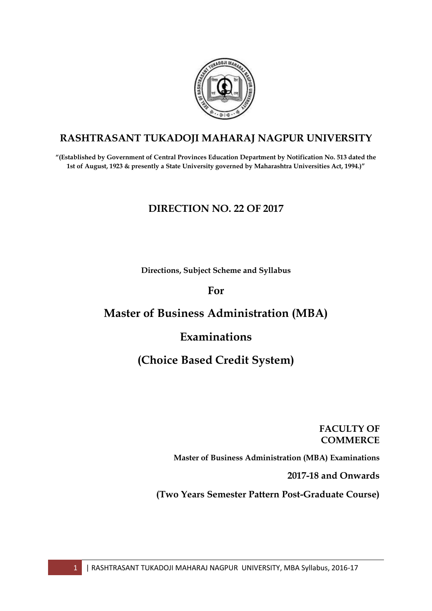

# **RASHTRASANT TUKADOJI MAHARAJ NAGPUR UNIVERSITY**

**―(Established by Government of Central Provinces Education Department by Notification No. 513 dated the 1st of August, 1923 & presently a State University governed by Maharashtra Universities Act, 1994.)‖**

## **DIRECTION NO. 22 OF 2017**

**Directions, Subject Scheme and Syllabus** 

## **For**

# **Master of Business Administration (MBA)**

# **Examinations**

# **(Choice Based Credit System)**

## **FACULTY OF COMMERCE**

**Master of Business Administration (MBA) Examinations**

**2017-18 and Onwards**

**(Two Years Semester Pattern Post-Graduate Course)**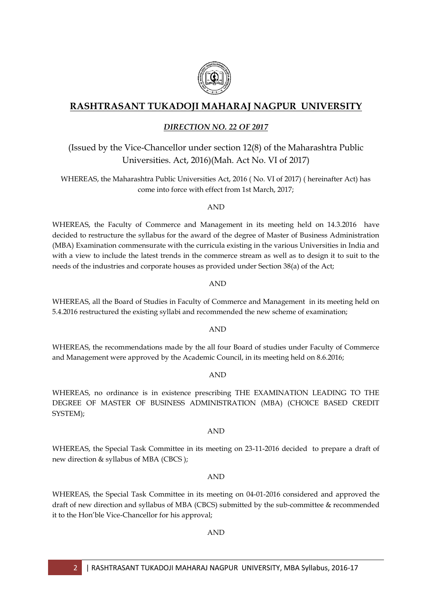

## **RASHTRASANT TUKADOJI MAHARAJ NAGPUR UNIVERSITY**

## *DIRECTION NO. 22 OF 2017*

## (Issued by the Vice-Chancellor under section 12(8) of the Maharashtra Public Universities. Act, 2016)(Mah. Act No. VI of 2017)

WHEREAS, the Maharashtra Public Universities Act, 2016 ( No. VI of 2017) ( hereinafter Act) has come into force with effect from 1st March, 2017;

AND

WHEREAS, the Faculty of Commerce and Management in its meeting held on 14.3.2016 have decided to restructure the syllabus for the award of the degree of Master of Business Administration (MBA) Examination commensurate with the curricula existing in the various Universities in India and with a view to include the latest trends in the commerce stream as well as to design it to suit to the needs of the industries and corporate houses as provided under Section 38(a) of the Act;

AND

WHEREAS, all the Board of Studies in Faculty of Commerce and Management in its meeting held on 5.4.2016 restructured the existing syllabi and recommended the new scheme of examination;

AND

WHEREAS, the recommendations made by the all four Board of studies under Faculty of Commerce and Management were approved by the Academic Council, in its meeting held on 8.6.2016;

AND

WHEREAS, no ordinance is in existence prescribing THE EXAMINATION LEADING TO THE DEGREE OF MASTER OF BUSINESS ADMINISTRATION (MBA) (CHOICE BASED CREDIT SYSTEM);

## AND

WHEREAS, the Special Task Committee in its meeting on 23-11-2016 decided to prepare a draft of new direction & syllabus of MBA (CBCS );

### AND

WHEREAS, the Special Task Committee in its meeting on 04-01-2016 considered and approved the draft of new direction and syllabus of MBA (CBCS) submitted by the sub-committee & recommended it to the Hon"ble Vice-Chancellor for his approval;

### AND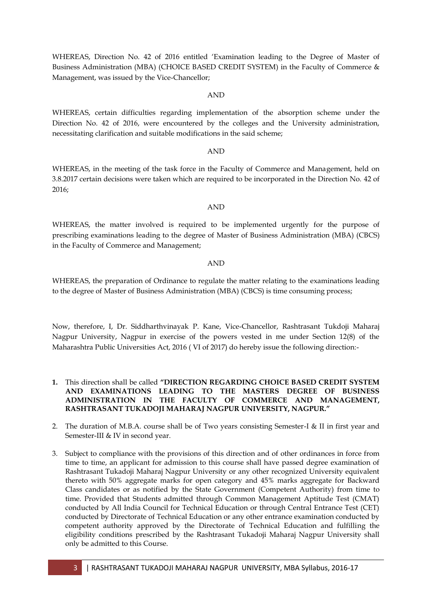WHEREAS, Direction No. 42 of 2016 entitled "Examination leading to the Degree of Master of Business Administration (MBA) (CHOICE BASED CREDIT SYSTEM) in the Faculty of Commerce & Management, was issued by the Vice-Chancellor;

WHEREAS, certain difficulties regarding implementation of the absorption scheme under the Direction No. 42 of 2016, were encountered by the colleges and the University administration,

necessitating clarification and suitable modifications in the said scheme;

#### AND

WHEREAS, in the meeting of the task force in the Faculty of Commerce and Management, held on 3.8.2017 certain decisions were taken which are required to be incorporated in the Direction No. 42 of 2016;

#### AND

WHEREAS, the matter involved is required to be implemented urgently for the purpose of prescribing examinations leading to the degree of Master of Business Administration (MBA) (CBCS) in the Faculty of Commerce and Management;

#### AND

WHEREAS, the preparation of Ordinance to regulate the matter relating to the examinations leading to the degree of Master of Business Administration (MBA) (CBCS) is time consuming process;

Now, therefore, I, Dr. Siddharthvinayak P. Kane, Vice-Chancellor, Rashtrasant Tukdoji Maharaj Nagpur University, Nagpur in exercise of the powers vested in me under Section 12(8) of the Maharashtra Public Universities Act, 2016 ( VI of 2017) do hereby issue the following direction:-

- **1.** This direction shall be called "DIRECTION REGARDING CHOICE BASED CREDIT SYSTEM **AND EXAMINATIONS LEADING TO THE MASTERS DEGREE OF BUSINESS ADMINISTRATION IN THE FACULTY OF COMMERCE AND MANAGEMENT, RASHTRASANT TUKADOJI MAHARAJ NAGPUR UNIVERSITY, NAGPUR.‖**
- 2. The duration of M.B.A. course shall be of Two years consisting Semester-I & II in first year and Semester-III & IV in second year.
- 3. Subject to compliance with the provisions of this direction and of other ordinances in force from time to time, an applicant for admission to this course shall have passed degree examination of Rashtrasant Tukadoji Maharaj Nagpur University or any other recognized University equivalent thereto with 50% aggregate marks for open category and 45% marks aggregate for Backward Class candidates or as notified by the State Government (Competent Authority) from time to time. Provided that Students admitted through Common Management Aptitude Test (CMAT) conducted by All India Council for Technical Education or through Central Entrance Test (CET) conducted by Directorate of Technical Education or any other entrance examination conducted by competent authority approved by the Directorate of Technical Education and fulfilling the eligibility conditions prescribed by the Rashtrasant Tukadoji Maharaj Nagpur University shall only be admitted to this Course.

## AND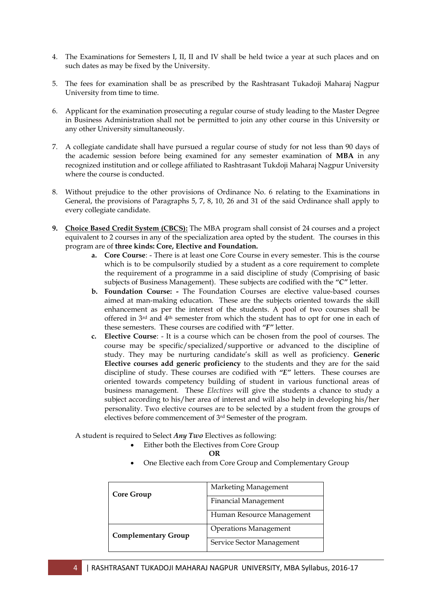- 4. The Examinations for Semesters I, II, II and IV shall be held twice a year at such places and on such dates as may be fixed by the University.
- 5. The fees for examination shall be as prescribed by the Rashtrasant Tukadoji Maharaj Nagpur University from time to time.
- 6. Applicant for the examination prosecuting a regular course of study leading to the Master Degree in Business Administration shall not be permitted to join any other course in this University or any other University simultaneously.
- 7. A collegiate candidate shall have pursued a regular course of study for not less than 90 days of the academic session before being examined for any semester examination of **MBA** in any recognized institution and or college affiliated to Rashtrasant Tukdoji Maharaj Nagpur University where the course is conducted.
- 8. Without prejudice to the other provisions of Ordinance No. 6 relating to the Examinations in General, the provisions of Paragraphs 5, 7, 8, 10, 26 and 31 of the said Ordinance shall apply to every collegiate candidate.
- **9. Choice Based Credit System (CBCS):** The MBA program shall consist of 24 courses and a project equivalent to 2 courses in any of the specialization area opted by the student. The courses in this program are of **three kinds: Core, Elective and Foundation.**
	- **a. Core Course**: There is at least one Core Course in every semester. This is the course which is to be compulsorily studied by a student as a core requirement to complete the requirement of a programme in a said discipline of study (Comprising of basic subjects of Business Management). These subjects are codified with the *"C"* letter.
	- **b. Foundation Course: -** The Foundation Courses are elective value-based courses aimed at man-making education. These are the subjects oriented towards the skill enhancement as per the interest of the students. A pool of two courses shall be offered in 3rd and 4th semester from which the student has to opt for one in each of these semesters. These courses are codified with *"F"* letter.
	- **c. Elective Course**: It is a course which can be chosen from the pool of courses. The course may be specific/specialized/supportive or advanced to the discipline of study. They may be nurturing candidate"s skill as well as proficiency. **Generic Elective courses add generic proficiency** to the students and they are for the said discipline of study. These courses are codified with *"E"* letters. These courses are oriented towards competency building of student in various functional areas of business management. These *Electives* will give the students a chance to study a subject according to his/her area of interest and will also help in developing his/her personality. Two elective courses are to be selected by a student from the groups of electives before commencement of 3rd Semester of the program.

A student is required to Select *Any Two* Electives as following:

Either both the Electives from Core Group

**OR**

One Elective each from Core Group and Complementary Group

| <b>Core Group</b>          | Marketing Management         |
|----------------------------|------------------------------|
|                            | <b>Financial Management</b>  |
|                            | Human Resource Management    |
| <b>Complementary Group</b> | <b>Operations Management</b> |
|                            | Service Sector Management    |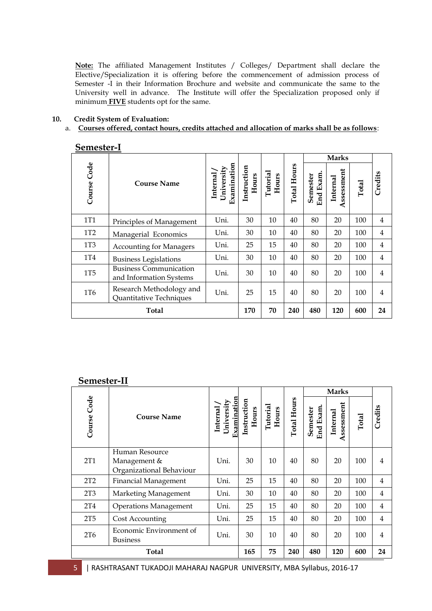**Note:** The affiliated Management Institutes / Colleges/ Department shall declare the Elective/Specialization it is offering before the commencement of admission process of Semester -I in their Information Brochure and website and communicate the same to the University well in advance. The Institute will offer the Specialization proposed only if minimum **FIVE** students opt for the same.

#### **10. Credit System of Evaluation:**

### a. **Courses offered, contact hours, credits attached and allocation of marks shall be as follows**:

|             |                                                          |                                       |                      |                   |                    |                       | <b>Marks</b>          |       |                |
|-------------|----------------------------------------------------------|---------------------------------------|----------------------|-------------------|--------------------|-----------------------|-----------------------|-------|----------------|
| Course Code | <b>Course Name</b>                                       | Examination<br>University<br>Internal | Instruction<br>Hours | Tutorial<br>Hours | <b>Total Hours</b> | End Exam.<br>Semester | ssessment<br>Internal | Total | Credits        |
| <b>1T1</b>  | Principles of Management                                 | Uni.                                  | 30                   | 10                | 40                 | 80                    | 20                    | 100   | $\overline{4}$ |
| 1T2         | Managerial Economics                                     | Uni.                                  | 30                   | 10                | 40                 | 80                    | 20                    | 100   | $\overline{4}$ |
| 1T3         | <b>Accounting for Managers</b>                           | Uni.                                  | 25                   | 15                | 40                 | 80                    | 20                    | 100   | $\overline{4}$ |
| 1T4         | <b>Business Legislations</b>                             | Uni.                                  | 30                   | 10                | 40                 | 80                    | 20                    | 100   | 4              |
| <b>1T5</b>  | <b>Business Communication</b><br>and Information Systems | Uni.                                  | 30                   | 10                | 40                 | 80                    | 20                    | 100   | $\overline{4}$ |
| 1T6         | Research Methodology and<br>Quantitative Techniques      | Uni.                                  | 25                   | 15                | 40                 | 80                    | 20                    | 100   | $\overline{4}$ |
|             | Total                                                    |                                       | 170                  | 70                | 240                | 480                   | 120                   | 600   | 24             |

### **Semester-I**

## **Semester-II**

| ochromer        | .                                                          |                                       |                      |                   |                    |                             | <b>Marks</b>               |       |                |
|-----------------|------------------------------------------------------------|---------------------------------------|----------------------|-------------------|--------------------|-----------------------------|----------------------------|-------|----------------|
| Code<br>Course  | <b>Course Name</b>                                         | Examination<br>University<br>Internal | Instruction<br>Hours | Tutorial<br>Hours | <b>Total Hours</b> | <b>End Exam</b><br>Semester | ssessment<br>Internal<br>≺ | Total | Credits        |
| 2T <sub>1</sub> | Human Resource<br>Management &<br>Organizational Behaviour | Uni.                                  | 30                   | 10                | 40                 | 80                          | 20                         | 100   | $\overline{4}$ |
| 2T2             | <b>Financial Management</b>                                | Uni.                                  | 25                   | 15                | 40                 | 80                          | 20                         | 100   | $\overline{4}$ |
| 2T3             | Marketing Management                                       | Uni.                                  | 30                   | 10                | 40                 | 80                          | 20                         | 100   | $\overline{4}$ |
| 2T <sub>4</sub> | <b>Operations Management</b>                               | Uni.                                  | 25                   | 15                | 40                 | 80                          | 20                         | 100   | $\overline{4}$ |
| 2T5             | Cost Accounting                                            | Uni.                                  | 25                   | 15                | 40                 | 80                          | 20                         | 100   | $\overline{4}$ |
| 2T <sub>6</sub> | Economic Environment of<br>Business                        | Uni.                                  | 30                   | 10                | 40                 | 80                          | 20                         | 100   | 4              |
|                 | <b>Total</b>                                               |                                       | 165                  | 75                | 240                | 480                         | 120                        | 600   | 24             |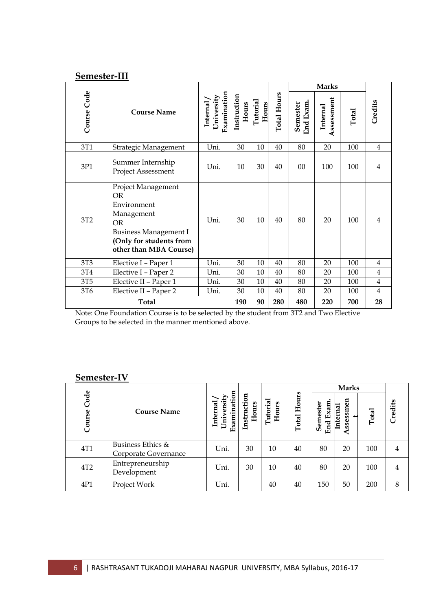| Semester-III    |                                                                                                                                                         |                                       |                      |                   |                    |                       |                        |       |                |
|-----------------|---------------------------------------------------------------------------------------------------------------------------------------------------------|---------------------------------------|----------------------|-------------------|--------------------|-----------------------|------------------------|-------|----------------|
|                 |                                                                                                                                                         |                                       |                      |                   |                    |                       | <b>Marks</b>           |       |                |
| Course Code     | <b>Course Name</b>                                                                                                                                      | Examination<br>University<br>Internal | Instruction<br>Hours | Tutorial<br>Hours | <b>Total Hours</b> | End Exam.<br>Semester | Assessment<br>Internal | Total | Credits        |
| 3T1             | Strategic Management                                                                                                                                    | Uni.                                  | 30                   | 10                | 40                 | 80                    | 20                     | 100   | $\overline{4}$ |
| 3P1             | Summer Internship<br><b>Project Assessment</b>                                                                                                          | Uni.                                  | 10                   | 30                | 40                 | 0 <sup>0</sup>        | 100                    | 100   | 4              |
| 3T2             | Project Management<br>OR<br>Environment<br>Management<br><b>OR</b><br><b>Business Management I</b><br>(Only for students from<br>other than MBA Course) | Uni.                                  | 30                   | 10                | 40                 | 80                    | 20                     | 100   | 4              |
| 3T3             | Elective I - Paper 1                                                                                                                                    | Uni.                                  | 30                   | 10                | 40                 | 80                    | 20                     | 100   | $\overline{4}$ |
| 3T4             | Elective I - Paper 2                                                                                                                                    | Uni.                                  | 30                   | 10                | 40                 | 80                    | 20                     | 100   | $\overline{4}$ |
| 3T <sub>5</sub> | Elective II - Paper 1                                                                                                                                   | Uni.                                  | 30                   | 10                | 40                 | 80                    | 20                     | 100   | $\overline{4}$ |
| 3T6             | Elective II - Paper 2                                                                                                                                   | Uni.                                  | 30                   | 10                | 40                 | 80                    | 20                     | 100   | 4              |
|                 | <b>Total</b>                                                                                                                                            |                                       | 190                  | 90                | 280                | 480                   | 220                    | 700   | 28             |

Note: One Foundation Course is to be selected by the student from 3T2 and Two Elective Groups to be selected in the manner mentioned above.

## **Semester-IV**

|                |                                           |                                       |                      |                   |                    |                         | <b>Marks</b>              |       |         |
|----------------|-------------------------------------------|---------------------------------------|----------------------|-------------------|--------------------|-------------------------|---------------------------|-------|---------|
| Code<br>Course | <b>Course Name</b>                        | Examination<br>University<br>Internal | Instruction<br>Hours | Tutorial<br>Hours | <b>Total Hours</b> | Semester<br>Exam<br>End | ssessmen<br>Internal<br>⋖ | Total | Credits |
| 4T1            | Business Ethics &<br>Corporate Governance | Uni.                                  | 30                   | 10                | 40                 | 80                      | 20                        | 100   | 4       |
| 4T2            | Entrepreneurship<br>Development           | Uni.                                  | 30                   | 10                | 40                 | 80                      | 20                        | 100   | 4       |
| 4P1            | Project Work                              | Uni.                                  |                      | 40                | 40                 | 150                     | 50                        | 200   | 8       |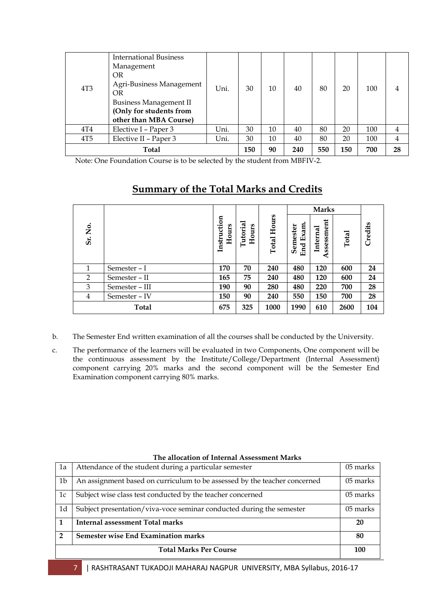| 4T <sub>3</sub> | <b>International Business</b><br>Management<br><b>OR</b><br>Agri-Business Management<br>OR<br><b>Business Management II</b><br>(Only for students from<br>other than MBA Course) | Uni. | 30  | 10 | 40  | 80  | 20  | 100 |    |
|-----------------|----------------------------------------------------------------------------------------------------------------------------------------------------------------------------------|------|-----|----|-----|-----|-----|-----|----|
| 4T <sub>4</sub> | Elective I – Paper 3                                                                                                                                                             | Uni. | 30  | 10 | 40  | 80  | 20  | 100 | 4  |
| 4T5             | Elective II – Paper 3                                                                                                                                                            | Uni. | 30  | 10 | 40  | 80  | 20  | 100 | 4  |
|                 | Total                                                                                                                                                                            |      | 150 | 90 | 240 | 550 | 150 | 700 | 28 |

Note: One Foundation Course is to be selected by the student from MBFIV-2.

|                |                |                      |                  |                |                         | <b>Marks</b>                          |       |         |
|----------------|----------------|----------------------|------------------|----------------|-------------------------|---------------------------------------|-------|---------|
| 。<br>No<br>Sr. |                | Instruction<br>Hours | Tutoria<br>Hours | Hours<br>Total | Exam<br>Semester<br>End | ssment<br>Internal<br><b>SSe</b><br>⋖ | Total | Credits |
| 1              | Semester – I   | 170                  | 70               | 240            | 480                     | 120                                   | 600   | 24      |
| 2              | Semester - II  | 165                  | 75               | 240            | 480                     | 120                                   | 600   | 24      |
| 3              | Semester - III | 190                  | 90               | 280            | 480                     | 220                                   | 700   | 28      |
| 4              | Semester - IV  | 150                  | 90               | 240            | 550                     | 150                                   | 700   | 28      |
|                | <b>Total</b>   | 675                  | 325              | 1000           | 1990                    | 610                                   | 2600  | 104     |

## **Summary of the Total Marks and Credits**

- b. The Semester End written examination of all the courses shall be conducted by the University.
- c. The performance of the learners will be evaluated in two Components, One component will be the continuous assessment by the Institute/College/Department (Internal Assessment) component carrying 20% marks and the second component will be the Semester End Examination component carrying 80% marks.

| 1a             | Attendance of the student during a particular semester                    | 05 marks |
|----------------|---------------------------------------------------------------------------|----------|
| 1b             | An assignment based on curriculum to be assessed by the teacher concerned | 05 marks |
| 1c             | Subject wise class test conducted by the teacher concerned                | 05 marks |
| 1d             | Subject presentation/viva-voce seminar conducted during the semester      | 05 marks |
|                | <b>Internal assessment Total marks</b>                                    | 20       |
| $\overline{2}$ | <b>Semester wise End Examination marks</b>                                | 80       |
|                | <b>Total Marks Per Course</b>                                             | 100      |

#### **The allocation of Internal Assessment Marks**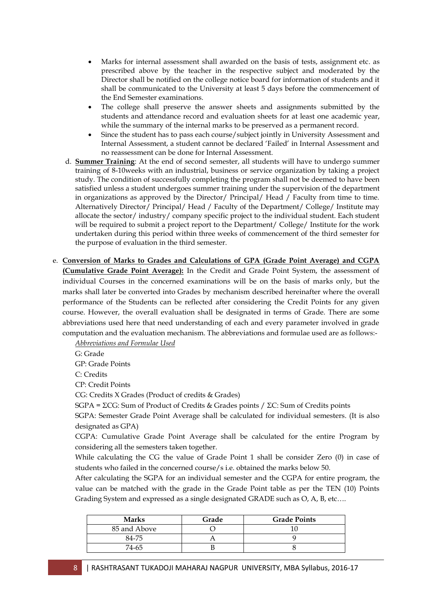- Marks for internal assessment shall awarded on the basis of tests, assignment etc. as prescribed above by the teacher in the respective subject and moderated by the Director shall be notified on the college notice board for information of students and it shall be communicated to the University at least 5 days before the commencement of the End Semester examinations.
- The college shall preserve the answer sheets and assignments submitted by the students and attendance record and evaluation sheets for at least one academic year, while the summary of the internal marks to be preserved as a permanent record.
- Since the student has to pass each course/subject jointly in University Assessment and Internal Assessment, a student cannot be declared "Failed" in Internal Assessment and no reassessment can be done for Internal Assessment.
- d. **Summer Training**: At the end of second semester, all students will have to undergo summer training of 8-10weeks with an industrial, business or service organization by taking a project study. The condition of successfully completing the program shall not be deemed to have been satisfied unless a student undergoes summer training under the supervision of the department in organizations as approved by the Director/ Principal/ Head / Faculty from time to time. Alternatively Director/ Principal/ Head / Faculty of the Department/ College/ Institute may allocate the sector/ industry/ company specific project to the individual student. Each student will be required to submit a project report to the Department/ College/ Institute for the work undertaken during this period within three weeks of commencement of the third semester for the purpose of evaluation in the third semester.
- e. **Conversion of Marks to Grades and Calculations of GPA (Grade Point Average) and CGPA (Cumulative Grade Point Average):** In the Credit and Grade Point System, the assessment of individual Courses in the concerned examinations will be on the basis of marks only, but the marks shall later be converted into Grades by mechanism described hereinafter where the overall performance of the Students can be reflected after considering the Credit Points for any given course. However, the overall evaluation shall be designated in terms of Grade. There are some abbreviations used here that need understanding of each and every parameter involved in grade computation and the evaluation mechanism. The abbreviations and formulae used are as follows:-

*Abbreviations and Formulae Used*

G: Grade

GP: Grade Points

C: Credits

CP: Credit Points

CG: Credits X Grades (Product of credits & Grades)

SGPA = ΣCG: Sum of Product of Credits & Grades points / ΣC: Sum of Credits points

SGPA: Semester Grade Point Average shall be calculated for individual semesters. (It is also designated as GPA)

CGPA: Cumulative Grade Point Average shall be calculated for the entire Program by considering all the semesters taken together.

While calculating the CG the value of Grade Point 1 shall be consider Zero (0) in case of students who failed in the concerned course/s i.e. obtained the marks below 50.

After calculating the SGPA for an individual semester and the CGPA for entire program, the value can be matched with the grade in the Grade Point table as per the TEN (10) Points Grading System and expressed as a single designated GRADE such as O, A, B, etc….

| <b>Marks</b> | Grade | <b>Grade Points</b> |
|--------------|-------|---------------------|
| 85 and Above |       |                     |
| 84-75        |       |                     |
| 74-65        |       |                     |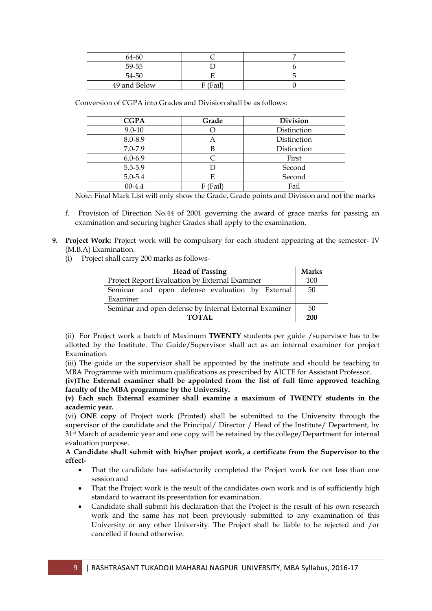| 64-60        |             |  |
|--------------|-------------|--|
| 59-55        |             |  |
| 54-50        |             |  |
| 49 and Below | (Fail)<br>F |  |

Conversion of CGPA into Grades and Division shall be as follows:

| <b>CGPA</b> | Grade    | <b>Division</b> |
|-------------|----------|-----------------|
| $9.0 - 10$  |          | Distinction     |
| 8.0-8.9     | Α        | Distinction     |
| 7.0-7.9     | В        | Distinction     |
| $6.0 - 6.9$ |          | First           |
| 5.5-5.9     |          | Second          |
| 5.0-5.4     | E        | Second          |
| $00 - 4.4$  | F (Fail) | Fail            |

Note: Final Mark List will only show the Grade, Grade points and Division and not the marks

- f. Provision of Direction No.44 of 2001 governing the award of grace marks for passing an examination and securing higher Grades shall apply to the examination.
- **9. Project Work:** Project work will be compulsory for each student appearing at the semester- IV (M.B.A) Examination.
	- (i) Project shall carry 200 marks as follows-

| <b>Head of Passing</b>                                 |     |  |  |  |  |
|--------------------------------------------------------|-----|--|--|--|--|
| Project Report Evaluation by External Examiner         |     |  |  |  |  |
| Seminar and open defense evaluation by External        | 50  |  |  |  |  |
| Examiner                                               |     |  |  |  |  |
| Seminar and open defense by Internal External Examiner | -50 |  |  |  |  |
| <b>TOTAL</b>                                           | 200 |  |  |  |  |

(ii) For Project work a batch of Maximum **TWENTY** students per guide /supervisor has to be allotted by the Institute. The Guide/Supervisor shall act as an internal examiner for project Examination.

(iii) The guide or the supervisor shall be appointed by the institute and should be teaching to MBA Programme with minimum qualifications as prescribed by AICTE for Assistant Professor.

**(iv)The External examiner shall be appointed from the list of full time approved teaching faculty of the MBA programme by the University.**

**(v) Each such External examiner shall examine a maximum of TWENTY students in the academic year.**

(vi) **ONE copy** of Project work (Printed) shall be submitted to the University through the supervisor of the candidate and the Principal/ Director / Head of the Institute/ Department, by 31st March of academic year and one copy will be retained by the college/Department for internal evaluation purpose.

**A Candidate shall submit with his/her project work, a certificate from the Supervisor to the effect-**

- That the candidate has satisfactorily completed the Project work for not less than one session and
- That the Project work is the result of the candidates own work and is of sufficiently high standard to warrant its presentation for examination.
- Candidate shall submit his declaration that the Project is the result of his own research work and the same has not been previously submitted to any examination of this University or any other University. The Project shall be liable to be rejected and /or cancelled if found otherwise.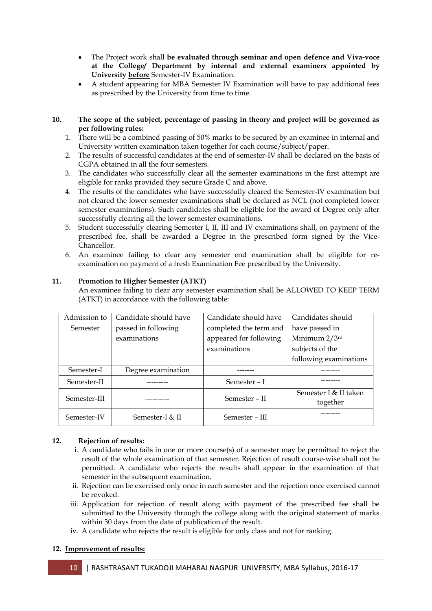- The Project work shall **be evaluated through seminar and open defence and Viva-voce at the College/ Department by internal and external examiners appointed by University before** Semester-IV Examination.
- A student appearing for MBA Semester IV Examination will have to pay additional fees as prescribed by the University from time to time.
- **10. The scope of the subject, percentage of passing in theory and project will be governed as per following rules:**
	- 1. There will be a combined passing of 50% marks to be secured by an examinee in internal and University written examination taken together for each course/subject/paper.
	- 2. The results of successful candidates at the end of semester-IV shall be declared on the basis of CGPA obtained in all the four semesters.
	- 3. The candidates who successfully clear all the semester examinations in the first attempt are eligible for ranks provided they secure Grade C and above.
	- 4. The results of the candidates who have successfully cleared the Semester-IV examination but not cleared the lower semester examinations shall be declared as NCL (not completed lower semester examinations). Such candidates shall be eligible for the award of Degree only after successfully clearing all the lower semester examinations.
	- 5. Student successfully clearing Semester I, II, III and IV examinations shall, on payment of the prescribed fee, shall be awarded a Degree in the prescribed form signed by the Vice-Chancellor.
	- 6. An examinee failing to clear any semester end examination shall be eligible for reexamination on payment of a fresh Examination Fee prescribed by the University.

### **11. Promotion to Higher Semester (ATKT)**

An examinee failing to clear any semester examination shall be ALLOWED TO KEEP TERM (ATKT) in accordance with the following table:

| Semester-IV  | Semester-I $\&$ II    | Semester – III         |                                   |
|--------------|-----------------------|------------------------|-----------------------------------|
| Semester-III |                       | Semester – II          | Semester I & II taken<br>together |
| Semester-II  |                       | Semester - I           |                                   |
| Semester-I   | Degree examination    |                        |                                   |
|              |                       |                        | following examinations            |
|              |                       | examinations           | subjects of the                   |
|              | examinations          | appeared for following | Minimum 2/3rd                     |
| Semester     | passed in following   | completed the term and | have passed in                    |
| Admission to | Candidate should have | Candidate should have  | Candidates should                 |

#### **12. Rejection of results:**

- i. A candidate who fails in one or more course(s) of a semester may be permitted to reject the result of the whole examination of that semester. Rejection of result course-wise shall not be permitted. A candidate who rejects the results shall appear in the examination of that semester in the subsequent examination.
- ii. Rejection can be exercised only once in each semester and the rejection once exercised cannot be revoked.
- iii. Application for rejection of result along with payment of the prescribed fee shall be submitted to the University through the college along with the original statement of marks within 30 days from the date of publication of the result.
- iv. A candidate who rejects the result is eligible for only class and not for ranking.

#### **12. Improvement of results:**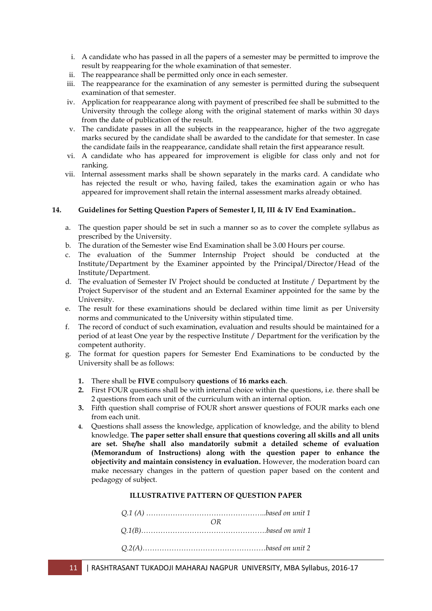- i. A candidate who has passed in all the papers of a semester may be permitted to improve the result by reappearing for the whole examination of that semester.
- ii. The reappearance shall be permitted only once in each semester.
- iii. The reappearance for the examination of any semester is permitted during the subsequent examination of that semester.
- iv. Application for reappearance along with payment of prescribed fee shall be submitted to the University through the college along with the original statement of marks within 30 days from the date of publication of the result.
- v. The candidate passes in all the subjects in the reappearance, higher of the two aggregate marks secured by the candidate shall be awarded to the candidate for that semester. In case the candidate fails in the reappearance, candidate shall retain the first appearance result.
- vi. A candidate who has appeared for improvement is eligible for class only and not for ranking.
- vii. Internal assessment marks shall be shown separately in the marks card. A candidate who has rejected the result or who, having failed, takes the examination again or who has appeared for improvement shall retain the internal assessment marks already obtained.

#### **14. Guidelines for Setting Question Papers of Semester I, II, III & IV End Examination..**

- a. The question paper should be set in such a manner so as to cover the complete syllabus as prescribed by the University.
- b. The duration of the Semester wise End Examination shall be 3.00 Hours per course.
- c. The evaluation of the Summer Internship Project should be conducted at the Institute/Department by the Examiner appointed by the Principal/Director/Head of the Institute/Department.
- d. The evaluation of Semester IV Project should be conducted at Institute / Department by the Project Supervisor of the student and an External Examiner appointed for the same by the University.
- e. The result for these examinations should be declared within time limit as per University norms and communicated to the University within stipulated time.
- f. The record of conduct of such examination, evaluation and results should be maintained for a period of at least One year by the respective Institute / Department for the verification by the competent authority.
- g. The format for question papers for Semester End Examinations to be conducted by the University shall be as follows:
	- **1.** There shall be **FIVE** compulsory **questions** of **16 marks each**.
	- **2.** First FOUR questions shall be with internal choice within the questions, i.e. there shall be 2 questions from each unit of the curriculum with an internal option.
	- **3.** Fifth question shall comprise of FOUR short answer questions of FOUR marks each one from each unit.
	- **4.** Questions shall assess the knowledge, application of knowledge, and the ability to blend knowledge. **The paper setter shall ensure that questions covering all skills and all units are set. She/he shall also mandatorily submit a detailed scheme of evaluation (Memorandum of Instructions) along with the question paper to enhance the objectivity and maintain consistency in evaluation.** However, the moderation board can make necessary changes in the pattern of question paper based on the content and pedagogy of subject.

#### **ILLUSTRATIVE PATTERN OF QUESTION PAPER**

| $\bigcap$ |
|-----------|
|           |
|           |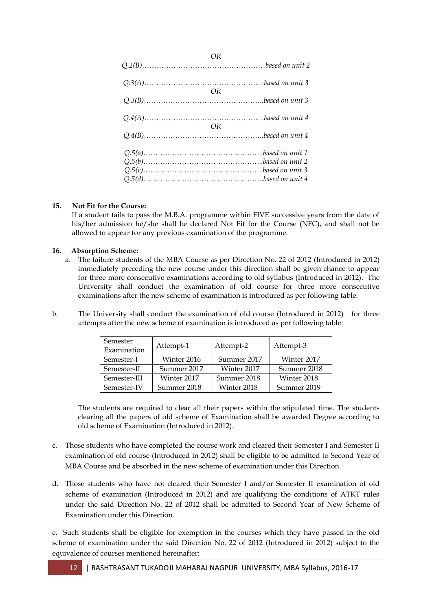| $U$ K |  |
|-------|--|
|       |  |
| OR.   |  |
| OR    |  |
|       |  |
|       |  |
|       |  |

*OR*

### **15. Not Fit for the Course:**

If a student fails to pass the M.B.A. programme within FIVE successive years from the date of his/her admission he/she shall be declared Not Fit for the Course (NFC), and shall not be allowed to appear for any previous examination of the programme.

#### **16. Absorption Scheme:**

- a. The failure students of the MBA Course as per Direction No. 22 of 2012 (Introduced in 2012) immediately preceding the new course under this direction shall be given chance to appear for three more consecutive examinations according to old syllabus (Introduced in 2012). The University shall conduct the examination of old course for three more consecutive examinations after the new scheme of examination is introduced as per following table:
- b. The University shall conduct the examination of old course (Introduced in 2012) for three attempts after the new scheme of examination is introduced as per following table:

| Semester<br>Examination | Attempt-1   | Attempt-2   | Attempt-3   |
|-------------------------|-------------|-------------|-------------|
| Semester-I              | Winter 2016 | Summer 2017 | Winter 2017 |
| Semester-II             | Summer 2017 | Winter 2017 | Summer 2018 |
| Semester-III            | Winter 2017 | Summer 2018 | Winter 2018 |
| Semester-IV             | Summer 2018 | Winter 2018 | Summer 2019 |

The students are required to clear all their papers within the stipulated time. The students clearing all the papers of old scheme of Examination shall be awarded Degree according to old scheme of Examination (Introduced in 2012).

- c. Those students who have completed the course work and cleared their Semester I and Semester II examination of old course (Introduced in 2012) shall be eligible to be admitted to Second Year of MBA Course and be absorbed in the new scheme of examination under this Direction.
- d. Those students who have not cleared their Semester I and/or Semester II examination of old scheme of examination (Introduced in 2012) and are qualifying the conditions of ATKT rules under the said Direction No. 22 of 2012 shall be admitted to Second Year of New Scheme of Examination under this Direction.

e. Such students shall be eligible for exemption in the courses which they have passed in the old scheme of examination under the said Direction No. 22 of 2012 (Introduced in 2012) subject to the equivalence of courses mentioned hereinafter: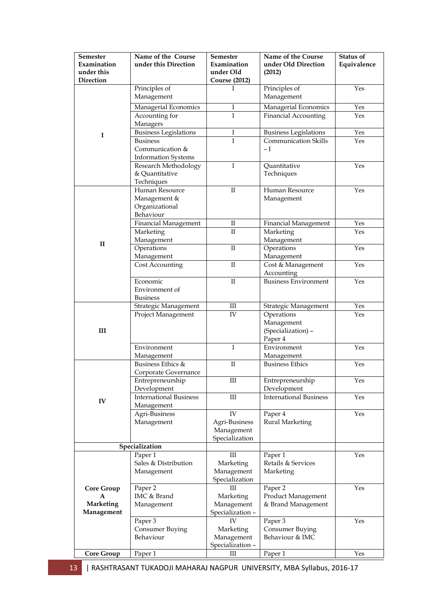| <b>Semester</b>           | Name of the Course                     | <b>Semester</b>          | Name of the Course              | Status of   |
|---------------------------|----------------------------------------|--------------------------|---------------------------------|-------------|
| Examination<br>under this | under this Direction                   | Examination<br>under Old | under Old Direction<br>(2012)   | Equivalence |
| Direction                 |                                        | <b>Course (2012)</b>     |                                 |             |
|                           | Principles of                          | I                        | Principles of                   | Yes         |
|                           | Management                             |                          | Management                      |             |
|                           | Managerial Economics                   | I                        | Managerial Economics            | Yes         |
|                           | Accounting for                         | I                        | <b>Financial Accounting</b>     | Yes         |
|                           | Managers                               |                          |                                 |             |
| I                         | Business Legislations                  | Ι                        | <b>Business Legislations</b>    | Yes         |
|                           | <b>Business</b>                        | I                        | <b>Communication Skills</b>     | Yes         |
|                           | Communication &                        |                          | – I                             |             |
|                           | <b>Information Systems</b>             |                          |                                 |             |
|                           | Research Methodology<br>& Quantitative | I                        | Quantitative<br>Techniques      | Yes         |
|                           | Techniques                             |                          |                                 |             |
|                           | Human Resource                         | $\mathbf{I}$             | Human Resource                  | Yes         |
|                           | Management &                           |                          | Management                      |             |
|                           | Organizational                         |                          |                                 |             |
|                           | Behaviour                              |                          |                                 |             |
|                           | <b>Financial Management</b>            | П                        | Financial Management            | Yes         |
|                           | Marketing                              | $\rm II$                 | Marketing                       | Yes         |
| $\mathbf{I}$              | Management                             |                          | Management                      |             |
|                           | Operations                             | $\mathbf{I}$             | Operations                      | Yes         |
|                           | Management<br>Cost Accounting          | $\rm II$                 | Management<br>Cost & Management | Yes         |
|                           |                                        |                          | Accounting                      |             |
|                           | Economic                               | $\rm II$                 | <b>Business Environment</b>     | Yes         |
|                           | Environment of                         |                          |                                 |             |
|                           | Business                               |                          |                                 |             |
|                           | Strategic Management                   | Ш                        | Strategic Management            | Yes         |
|                           | Project Management                     | IV                       | Operations                      | Yes         |
|                           |                                        |                          | Management                      |             |
| III                       |                                        |                          | (Specialization) -<br>Paper 4   |             |
|                           | Environment                            | I                        | Environment                     | Yes         |
|                           | Management                             |                          | Management                      |             |
|                           | Business Ethics &                      | $\rm II$                 | <b>Business Ethics</b>          | Yes         |
|                           | Corporate Governance                   |                          |                                 |             |
|                           | Entrepreneurship                       | Ш                        | Entrepreneurship                | Yes         |
|                           | Development                            |                          | Development                     |             |
| IV                        | <b>International Business</b>          | Ш                        | <b>International Business</b>   | Yes         |
|                           | Management<br>Agri-Business            | IV                       | Paper 4                         | Yes         |
|                           | Management                             | Agri-Business            | <b>Rural Marketing</b>          |             |
|                           |                                        | Management               |                                 |             |
|                           |                                        | Specialization           |                                 |             |
|                           | Specialization                         |                          |                                 |             |
|                           | Paper 1                                | Ш                        | Paper 1                         | Yes         |
|                           | Sales & Distribution                   | Marketing                | Retails & Services              |             |
|                           | Management                             | Management               | Marketing                       |             |
|                           | Paper 2                                | Specialization<br>Ш      | Paper 2                         | Yes         |
| <b>Core Group</b>         | IMC & Brand                            | Marketing                | Product Management              |             |
| <b>Marketing</b>          | Management                             | Management               | & Brand Management              |             |
| Management                |                                        | Specialization -         |                                 |             |
|                           | Paper 3                                | IV                       | Paper 3                         | Yes         |
|                           | Consumer Buying                        | Marketing                | Consumer Buying                 |             |
|                           | Behaviour                              | Management               | Behaviour & IMC                 |             |
|                           |                                        | Specialization -         |                                 |             |
| <b>Core Group</b>         | Paper 1                                | Ш                        | Paper 1                         | Yes         |

13 | RASHTRASANT TUKADOJI MAHARAJ NAGPUR UNIVERSITY, MBA Syllabus, 2016-17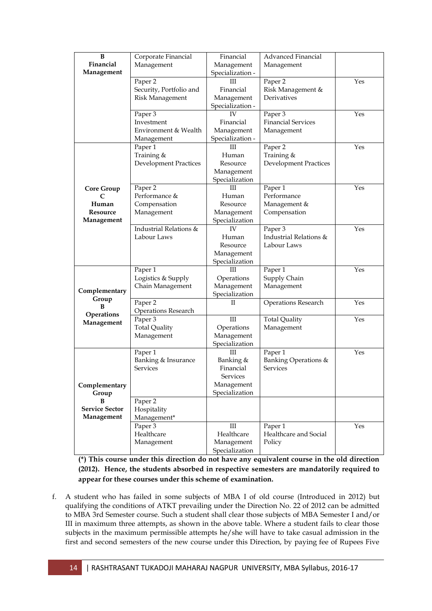| B                      | Corporate Financial          | Financial                    | Advanced Financial           |     |
|------------------------|------------------------------|------------------------------|------------------------------|-----|
| Financial              | Management                   | Management                   | Management                   |     |
| Management             |                              | Specialization -             |                              |     |
|                        | Paper 2                      | Ш                            | Paper 2                      | Yes |
|                        | Security, Portfolio and      | Financial                    | Risk Management &            |     |
|                        | <b>Risk Management</b>       | Management                   | Derivatives                  |     |
|                        |                              | Specialization -             |                              |     |
|                        | Paper 3                      | IV                           | Paper 3                      | Yes |
|                        | Investment                   | Financial                    | <b>Financial Services</b>    |     |
|                        | Environment & Wealth         | Management                   | Management                   |     |
|                        |                              | Specialization -             |                              |     |
|                        | Management                   | Ш                            | Paper 2                      | Yes |
|                        | Paper 1<br>Training &        | Human                        | Training &                   |     |
|                        | <b>Development Practices</b> | Resource                     | <b>Development Practices</b> |     |
|                        |                              | Management                   |                              |     |
|                        |                              | Specialization               |                              |     |
|                        | Paper 2                      | Ш                            | Paper 1                      | Yes |
| <b>Core Group</b><br>C | Performance &                | Human                        | Performance                  |     |
| Human                  | Compensation                 | Resource                     | Management &                 |     |
| Resource               | Management                   |                              | Compensation                 |     |
| Management             |                              | Management<br>Specialization |                              |     |
|                        | Industrial Relations &       | IV                           | Paper 3                      | Yes |
|                        | Labour Laws                  | Human                        | Industrial Relations &       |     |
|                        |                              | Resource                     | Labour Laws                  |     |
|                        |                              | Management                   |                              |     |
|                        |                              | Specialization               |                              |     |
|                        | Paper 1                      | Ш                            | Paper 1                      | Yes |
|                        | Logistics & Supply           | Operations                   | Supply Chain                 |     |
|                        | Chain Management             | Management                   | Management                   |     |
| Complementary          |                              | Specialization               |                              |     |
| Group                  | Paper <sub>2</sub>           | П                            | Operations Research          | Yes |
| B                      | <b>Operations Research</b>   |                              |                              |     |
| Operations             | Paper 3                      | Ш                            | <b>Total Quality</b>         | Yes |
| Management             | <b>Total Quality</b>         | Operations                   | Management                   |     |
|                        | Management                   | Management                   |                              |     |
|                        | Specialization               |                              |                              |     |
|                        | Paper 1                      | Ш                            | Paper 1                      | Yes |
|                        | Banking & Insurance          | Banking &                    | Banking Operations &         |     |
|                        | Services                     | Financial                    | Services                     |     |
|                        |                              | Services                     |                              |     |
| Complementary          |                              | Management                   |                              |     |
| Group                  |                              | Specialization               |                              |     |
| В                      | Paper 2                      |                              |                              |     |
| <b>Service Sector</b>  | Hospitality                  |                              |                              |     |
| Management             | Management*                  |                              |                              |     |
|                        | Paper 3                      | Ш                            | Paper 1                      | Yes |
|                        | Healthcare                   | Healthcare                   | Healthcare and Social        |     |
|                        | Management                   | Management                   | Policy                       |     |
|                        |                              | Specialization               |                              |     |

**(\*) This course under this direction do not have any equivalent course in the old direction (2012). Hence, the students absorbed in respective semesters are mandatorily required to appear for these courses under this scheme of examination.**

f. A student who has failed in some subjects of MBA I of old course (Introduced in 2012) but qualifying the conditions of ATKT prevailing under the Direction No. 22 of 2012 can be admitted to MBA 3rd Semester course. Such a student shall clear those subjects of MBA Semester I and/or III in maximum three attempts, as shown in the above table. Where a student fails to clear those subjects in the maximum permissible attempts he/she will have to take casual admission in the first and second semesters of the new course under this Direction, by paying fee of Rupees Five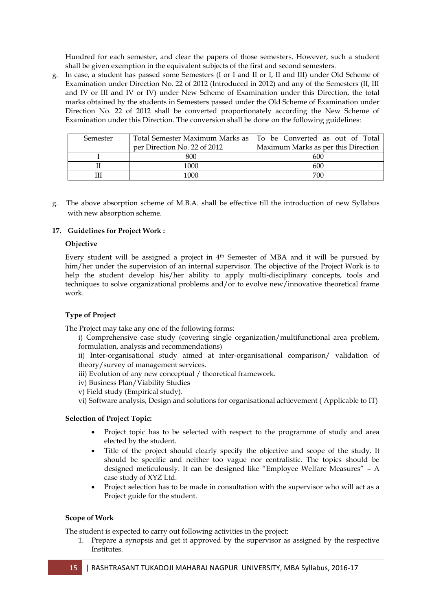Hundred for each semester, and clear the papers of those semesters. However, such a student shall be given exemption in the equivalent subjects of the first and second semesters.

g. In case, a student has passed some Semesters (I or I and II or I, II and III) under Old Scheme of Examination under Direction No. 22 of 2012 (Introduced in 2012) and any of the Semesters (II, III and IV or III and IV or IV) under New Scheme of Examination under this Direction, the total marks obtained by the students in Semesters passed under the Old Scheme of Examination under Direction No. 22 of 2012 shall be converted proportionately according the New Scheme of Examination under this Direction. The conversion shall be done on the following guidelines:

| Semester |                              | Total Semester Maximum Marks as   To be Converted as out of Total |
|----------|------------------------------|-------------------------------------------------------------------|
|          | per Direction No. 22 of 2012 | Maximum Marks as per this Direction                               |
|          | 800                          | 600                                                               |
|          | 1000                         | 600                                                               |
|          | 1000                         | 700                                                               |

g. The above absorption scheme of M.B.A. shall be effective till the introduction of new Syllabus with new absorption scheme.

### **17. Guidelines for Project Work :**

#### **Objective**

Every student will be assigned a project in  $4<sup>th</sup>$  Semester of MBA and it will be pursued by him/her under the supervision of an internal supervisor. The objective of the Project Work is to help the student develop his/her ability to apply multi-disciplinary concepts, tools and techniques to solve organizational problems and/or to evolve new/innovative theoretical frame work.

### **Type of Project**

The Project may take any one of the following forms:

i) Comprehensive case study (covering single organization/multifunctional area problem, formulation, analysis and recommendations)

ii) Inter-organisational study aimed at inter-organisational comparison/ validation of theory/survey of management services.

- iii) Evolution of any new conceptual / theoretical framework.
- iv) Business Plan/Viability Studies
- v) Field study (Empirical study).

vi) Software analysis, Design and solutions for organisational achievement ( Applicable to IT)

#### **Selection of Project Topic:**

- Project topic has to be selected with respect to the programme of study and area elected by the student.
- Title of the project should clearly specify the objective and scope of the study. It should be specific and neither too vague nor centralistic. The topics should be designed meticulously. It can be designed like "Employee Welfare Measures" – A case study of XYZ Ltd.
- Project selection has to be made in consultation with the supervisor who will act as a Project guide for the student.

#### **Scope of Work**

The student is expected to carry out following activities in the project:

1. Prepare a synopsis and get it approved by the supervisor as assigned by the respective Institutes.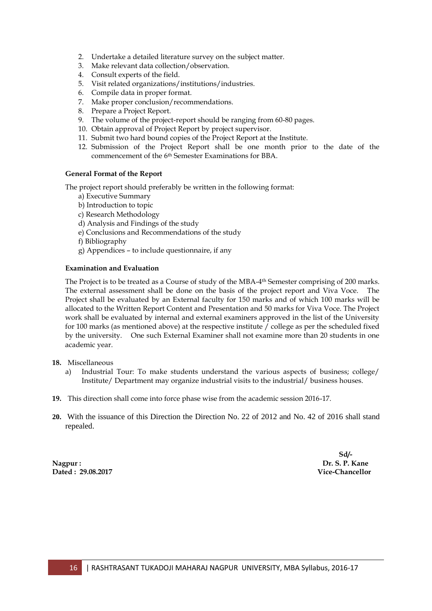- 2. Undertake a detailed literature survey on the subject matter.
- 3. Make relevant data collection/observation.
- 4. Consult experts of the field.
- 5. Visit related organizations/institutions/industries.
- 6. Compile data in proper format.
- 7. Make proper conclusion/recommendations.
- 8. Prepare a Project Report.
- 9. The volume of the project-report should be ranging from 60-80 pages.
- 10. Obtain approval of Project Report by project supervisor.
- 11. Submit two hard bound copies of the Project Report at the Institute.
- 12. Submission of the Project Report shall be one month prior to the date of the commencement of the 6 th Semester Examinations for BBA.

#### **General Format of the Report**

The project report should preferably be written in the following format:

- a) Executive Summary
- b) Introduction to topic
- c) Research Methodology
- d) Analysis and Findings of the study
- e) Conclusions and Recommendations of the study
- f) Bibliography
- g) Appendices to include questionnaire, if any

#### **Examination and Evaluation**

The Project is to be treated as a Course of study of the MBA-4<sup>th</sup> Semester comprising of 200 marks. The external assessment shall be done on the basis of the project report and Viva Voce. The Project shall be evaluated by an External faculty for 150 marks and of which 100 marks will be allocated to the Written Report Content and Presentation and 50 marks for Viva Voce. The Project work shall be evaluated by internal and external examiners approved in the list of the University for 100 marks (as mentioned above) at the respective institute / college as per the scheduled fixed by the university. One such External Examiner shall not examine more than 20 students in one academic year.

#### **18.** Miscellaneous

- a) Industrial Tour: To make students understand the various aspects of business; college/ Institute/ Department may organize industrial visits to the industrial/ business houses.
- **19.** This direction shall come into force phase wise from the academic session 2016-17.
- **20.** With the issuance of this Direction the Direction No. 22 of 2012 and No. 42 of 2016 shall stand repealed.

**Nagpur : Dr. S. P. Kane Dated : 29.08.2017 Vice-Chancellor**

**Sd/-**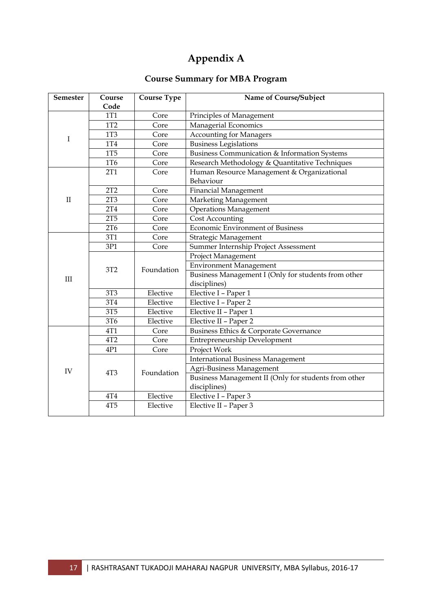# **Appendix A**

# **Course Summary for MBA Program**

| Semester     | Course<br>Code  | <b>Course Type</b> | Name of Course/Subject                                  |  |
|--------------|-----------------|--------------------|---------------------------------------------------------|--|
|              | 1T1             | Core               | Principles of Management                                |  |
|              | 1T2             | Core               | Managerial Economics                                    |  |
|              | <b>1T3</b>      | Core               | <b>Accounting for Managers</b>                          |  |
| I            | <b>1T4</b>      | Core               | <b>Business Legislations</b>                            |  |
|              | <b>1T5</b>      | Core               | <b>Business Communication &amp; Information Systems</b> |  |
|              | 1T6             | Core               | Research Methodology & Quantitative Techniques          |  |
|              | 2T1             | Core               | Human Resource Management & Organizational              |  |
|              |                 |                    | Behaviour                                               |  |
|              | 2T2             | Core               | Financial Management                                    |  |
| $\mathbf{I}$ | 2T <sub>3</sub> | Core               | Marketing Management                                    |  |
|              | 2T <sub>4</sub> | Core               | <b>Operations Management</b>                            |  |
|              | 2T5             | Core               | <b>Cost Accounting</b>                                  |  |
|              | 2T <sub>6</sub> | Core               | Economic Environment of Business                        |  |
|              | 3T1             | Core               | Strategic Management                                    |  |
|              | 3P1             | Core               | Summer Internship Project Assessment                    |  |
|              | 3T2             | Foundation         | Project Management                                      |  |
|              |                 |                    | <b>Environment Management</b>                           |  |
| III          |                 |                    | Business Management I (Only for students from other     |  |
|              |                 |                    | disciplines)                                            |  |
|              | 3T3             | Elective           | Elective I - Paper 1                                    |  |
|              | 3T <sub>4</sub> | Elective           | Elective I - Paper 2                                    |  |
|              | <b>3T5</b>      | Elective           | Elective II - Paper 1                                   |  |
|              | 3T6             | Elective           | Elective II - Paper 2                                   |  |
|              | 4T1             | Core               | Business Ethics & Corporate Governance                  |  |
|              | 4T2             | Core               | Entrepreneurship Development                            |  |
|              | 4P1             | Core               | Project Work                                            |  |
|              |                 |                    | <b>International Business Management</b>                |  |
| IV           | 4T <sub>3</sub> | Foundation         | Agri-Business Management                                |  |
|              |                 |                    | Business Management II (Only for students from other    |  |
|              |                 |                    | disciplines)                                            |  |
|              | $4\mathrm{T}4$  | Elective           | Elective I - Paper 3                                    |  |
|              | 4T <sub>5</sub> | Elective           | Elective II - Paper 3                                   |  |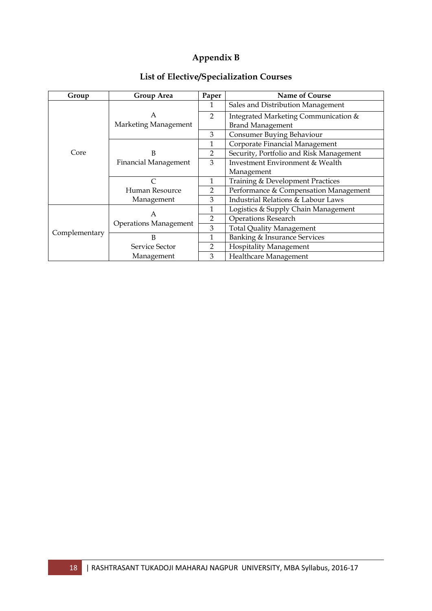# **Appendix B**

| Group         | <b>Group Area</b>            | Paper          | <b>Name of Course</b>                   |
|---------------|------------------------------|----------------|-----------------------------------------|
|               |                              | 1              | Sales and Distribution Management       |
|               | A                            | $\mathcal{P}$  | Integrated Marketing Communication &    |
|               | Marketing Management         |                | <b>Brand Management</b>                 |
|               |                              | 3              | Consumer Buying Behaviour               |
|               |                              | 1              | Corporate Financial Management          |
| Core          | В                            | $\overline{2}$ | Security, Portfolio and Risk Management |
|               | <b>Financial Management</b>  | 3              | Investment Environment & Wealth         |
|               |                              |                | Management                              |
|               | C                            | 1              | Training & Development Practices        |
|               | Human Resource               | $\overline{2}$ | Performance & Compensation Management   |
|               | Management                   | 3              | Industrial Relations & Labour Laws      |
|               | A                            | 1              | Logistics & Supply Chain Management     |
|               | <b>Operations Management</b> | $\overline{2}$ | <b>Operations Research</b>              |
| Complementary |                              | 3              | <b>Total Quality Management</b>         |
|               | B                            | 1              | Banking & Insurance Services            |
|               | Service Sector               | $\overline{2}$ | <b>Hospitality Management</b>           |
|               | Management                   | 3              | Healthcare Management                   |

# **List of Elective/Specialization Courses**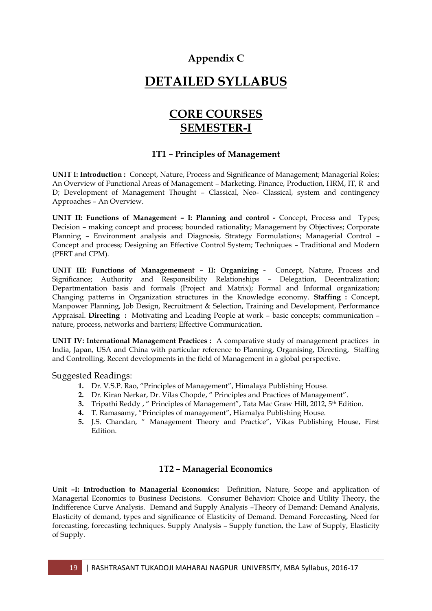## **Appendix C**

# **DETAILED SYLLABUS**

# **CORE COURSES SEMESTER-I**

## **1T1 – Principles of Management**

**UNIT I: Introduction :** Concept, Nature, Process and Significance of Management; Managerial Roles; An Overview of Functional Areas of Management – Marketing, Finance, Production, HRM, IT, R and D; Development of Management Thought – Classical, Neo- Classical, system and contingency Approaches – An Overview.

**UNIT II: Functions of Management – I: Planning and control -** Concept, Process and Types; Decision – making concept and process; bounded rationality; Management by Objectives; Corporate Planning – Environment analysis and Diagnosis, Strategy Formulations; Managerial Control – Concept and process; Designing an Effective Control System; Techniques – Traditional and Modern (PERT and CPM).

**UNIT III: Functions of Managemement – II: Organizing -** Concept, Nature, Process and Significance; Authority and Responsibility Relationships – Delegation, Decentralization; Departmentation basis and formals (Project and Matrix); Formal and Informal organization; Changing patterns in Organization structures in the Knowledge economy. **Staffing :** Concept, Manpower Planning, Job Design, Recruitment & Selection, Training and Development, Performance Appraisal. **Directing :** Motivating and Leading People at work – basic concepts; communication – nature, process, networks and barriers; Effective Communication.

**UNIT IV: International Management Practices :** A comparative study of management practices in India, Japan, USA and China with particular reference to Planning, Organising, Directing, Staffing and Controlling, Recent developments in the field of Management in a global perspective.

Suggested Readings:

- **1.** Dr. V.S.P. Rao, "Principles of Management", Himalaya Publishing House.
- **2.** Dr. Kiran Nerkar, Dr. Vilas Chopde, " Principles and Practices of Management".
- **3.** Tripathi Reddy, " Principles of Management", Tata Mac Graw Hill, 2012, 5<sup>th</sup> Edition.
- **4.** T. Ramasamy, "Principles of management", Hiamalya Publishing House.
- **5.** J.S. Chandan, " Management Theory and Practice", Vikas Publishing House, First Edition.

## **1T2 – Managerial Economics**

**Unit –I: Introduction to Managerial Economics:** Definition, Nature, Scope and application of Managerial Economics to Business Decisions. Consumer Behavior**:** Choice and Utility Theory, the Indifference Curve Analysis. Demand and Supply Analysis –Theory of Demand: Demand Analysis, Elasticity of demand, types and significance of Elasticity of Demand. Demand Forecasting, Need for forecasting, forecasting techniques. Supply Analysis – Supply function, the Law of Supply, Elasticity of Supply.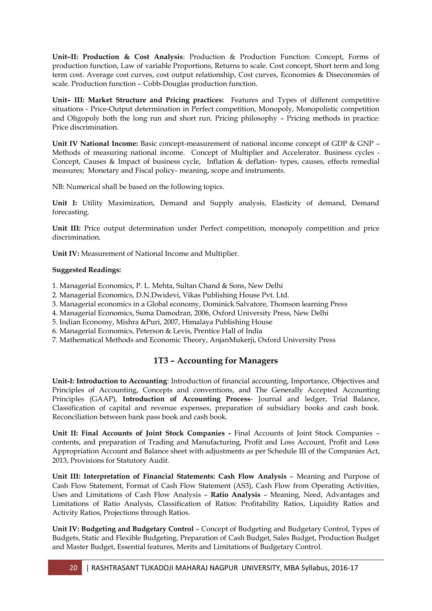**Unit–II: Production & Cost Analysis**: Production & Production Function: Concept, Forms of production function, Law of variable Proportions, Returns to scale. Cost concept, Short term and long term cost. Average cost curves, cost output relationship, Cost curves, Economies & Diseconomies of scale. Production function – Cobb-Douglas production function.

**Unit– III: Market Structure and Pricing practices:** Features and Types of different competitive situations - Price-Output determination in Perfect competition, Monopoly, Monopolistic competition and Oligopoly both the long run and short run. Pricing philosophy – Pricing methods in practice: Price discrimination.

**Unit IV National Income:** Basic concept-measurement of national income concept of GDP & GNP – Methods of measuring national income. Concept of Multiplier and Accelerator. Business cycles - Concept, Causes & Impact of business cycle, Inflation & deflation- types, causes, effects remedial measures; Monetary and Fiscal policy- meaning, scope and instruments.

NB: Numerical shall be based on the following topics.

**Unit I:** Utility Maximization, Demand and Supply analysis, Elasticity of demand, Demand forecasting.

**Unit III:** Price output determination under Perfect competition, monopoly competition and price discrimination.

**Unit IV:** Measurement of National Income and Multiplier.

### **Suggested Readings:**

1. Managerial Economics, P. L. Mehta, Sultan Chand & Sons, New Delhi

- 2. Managerial Economics, D.N.Dwidevi, Vikas Publishing House Pvt. Ltd.
- 3. Managerial economics in a Global economy, Dominick Salvatore, Thomson learning Press
- 4. Managerial Economics, Suma Damodran, 2006, Oxford University Press, New Delhi
- 5. Indian Economy, Mishra &Puri, 2007, Himalaya Publishing House
- 6. Managerial Economics, Peterson & Levis, Prentice Hall of India
- 7. Mathematical Methods and Economic Theory, AnjanMukerji, Oxford University Press

## **1T3 – Accounting for Managers**

**Unit-I: Introduction to Accounting**: Introduction of financial accounting, Importance, Objectives and Principles of Accounting, Concepts and conventions, and The Generally Accepted Accounting Principles (GAAP), **Introduction of Accounting Process**- Journal and ledger, Trial Balance, Classification of capital and revenue expenses, preparation of subsidiary books and cash book. Reconciliation between bank pass book and cash book.

**Unit II: Final Accounts of Joint Stock Companies -** Final Accounts of Joint Stock Companies – contents, and preparation of Trading and Manufacturing, Profit and Loss Account, Profit and Loss Appropriation Account and Balance sheet with adjustments as per Schedule III of the Companies Act, 2013, Provisions for Statutory Audit.

**Unit III: Interpretation of Financial Statements: Cash Flow Analysis** – Meaning and Purpose of Cash Flow Statement, Format of Cash Flow Statement (AS3), Cash Flow from Operating Activities, Uses and Limitations of Cash Flow Analysis – **Ratio Analysis** – Meaning, Need, Advantages and Limitations of Ratio Analysis, Classification of Ratios: Profitability Ratios, Liquidity Ratios and Activity Ratios, Projections through Ratios.

**Unit IV: Budgeting and Budgetary Control** – Concept of Budgeting and Budgetary Control, Types of Budgets, Static and Flexible Budgeting, Preparation of Cash Budget, Sales Budget, Production Budget and Master Budget, Essential features, Merits and Limitations of Budgetary Control.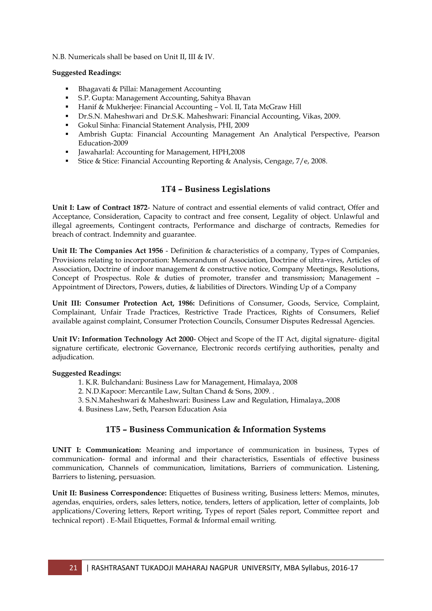N.B. Numericals shall be based on Unit II, III & IV.

#### **Suggested Readings:**

- Bhagavati & Pillai: Management Accounting
- S.P. Gupta: Management Accounting, Sahitya Bhavan
- Hanif & Mukherjee: Financial Accounting Vol. II, Tata McGraw Hill
- Dr.S.N. Maheshwari and Dr.S.K. Maheshwari: Financial Accounting, Vikas, 2009.
- Gokul Sinha: Financial Statement Analysis, PHI, 2009
- Ambrish Gupta: Financial Accounting Management An Analytical Perspective, Pearson Education-2009
- Jawaharlal: Accounting for Management, HPH,2008
- Stice & Stice: Financial Accounting Reporting & Analysis, Cengage, 7/e, 2008.

## **1T4 – Business Legislations**

**Unit I: Law of Contract 1872**- Nature of contract and essential elements of valid contract, Offer and Acceptance, Consideration, Capacity to contract and free consent, Legality of object. Unlawful and illegal agreements, Contingent contracts, Performance and discharge of contracts, Remedies for breach of contract. Indemnity and guarantee.

**Unit II: The Companies Act 1956** - Definition & characteristics of a company, Types of Companies, Provisions relating to incorporation: Memorandum of Association, Doctrine of ultra-vires, Articles of Association, Doctrine of indoor management & constructive notice, Company Meetings, Resolutions, Concept of Prospectus. Role & duties of promoter, transfer and transmission; Management – Appointment of Directors, Powers, duties, & liabilities of Directors. Winding Up of a Company

**Unit III: Consumer Protection Act, 1986:** Definitions of Consumer, Goods, Service, Complaint, Complainant, Unfair Trade Practices, Restrictive Trade Practices, Rights of Consumers, Relief available against complaint, Consumer Protection Councils, Consumer Disputes Redressal Agencies.

**Unit IV: Information Technology Act 2000**- Object and Scope of the IT Act, digital signature- digital signature certificate, electronic Governance, Electronic records certifying authorities, penalty and adjudication.

#### **Suggested Readings:**

- 1. K.R. Bulchandani: Business Law for Management, Himalaya, 2008
- 2. N.D.Kapoor: Mercantile Law, Sultan Chand & Sons, 2009. .
- 3. S.N.Maheshwari & Maheshwari: Business Law and Regulation, Himalaya,.2008
- 4. Business Law, Seth, Pearson Education Asia

## **1T5 – Business Communication & Information Systems**

**UNIT I: Communication:** Meaning and importance of communication in business, Types of communication- formal and informal and their characteristics, Essentials of effective business communication, Channels of communication, limitations, Barriers of communication. Listening, Barriers to listening, persuasion.

**Unit II: Business Correspondence:** Etiquettes of Business writing, Business letters: Memos, minutes, agendas, enquiries, orders, sales letters, notice, tenders, letters of application, letter of complaints, Job applications/Covering letters, Report writing, Types of report (Sales report, Committee report and technical report) . E-Mail Etiquettes, Formal & Informal email writing.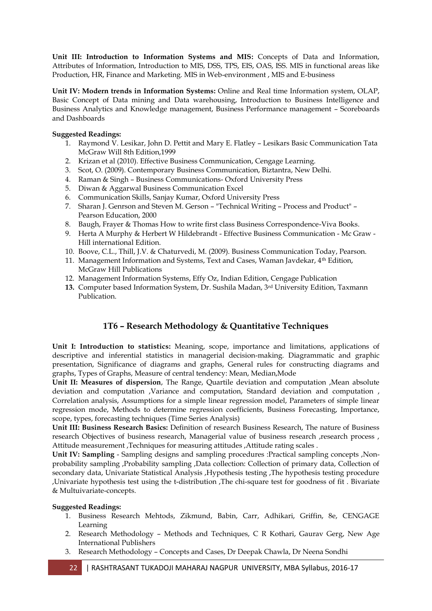**Unit III: Introduction to Information Systems and MIS:** Concepts of Data and Information, Attributes of Information, Introduction to MIS, DSS, TPS, EIS, OAS, ISS. MIS in functional areas like Production, HR, Finance and Marketing. MIS in Web-environment , MIS and E-business

**Unit IV: Modern trends in Information Systems:** Online and Real time Information system, OLAP, Basic Concept of Data mining and Data warehousing, Introduction to Business Intelligence and Business Analytics and Knowledge management, Business Performance management – Scoreboards and Dashboards

### **Suggested Readings:**

- 1. Raymond V. Lesikar, John D. Pettit and Mary E. Flatley Lesikars Basic Communication Tata McGraw Will 8th Edition,1999
- 2. Krizan et al (2010). Effective Business Communication, Cengage Learning.
- 3. Scot, O. (2009). Contemporary Business Communication, Biztantra, New Delhi.
- 4. Raman & Singh Business Communications- Oxford University Press
- 5. Diwan & Aggarwal Business Communication Excel
- 6. Communication Skills, Sanjay Kumar, Oxford University Press
- 7. Sharan J. Genrson and Steven M. Gerson "Technical Writing Process and Product" Pearson Education, 2000
- 8. Baugh, Frayer & Thomas How to write first class Business Correspondence-Viva Books.
- 9. Herta A Murphy & Herbert W Hildebrandt Effective Business Communication Mc Graw Hill international Edition.
- 10. Boove, C.L., Thill, J.V. & Chaturvedi, M. (2009). Business Communication Today, Pearson.
- 11. Management Information and Systems, Text and Cases, Waman Javdekar, 4th Edition, McGraw Hill Publications
- 12. Management Information Systems, Effy Oz, Indian Edition, Cengage Publication
- **13.** Computer based Information System, Dr. Sushila Madan, 3rd University Edition, Taxmann Publication.

## **1T6 – Research Methodology & Quantitative Techniques**

**Unit I: Introduction to statistics:** Meaning, scope, importance and limitations, applications of descriptive and inferential statistics in managerial decision-making. Diagrammatic and graphic presentation, Significance of diagrams and graphs, General rules for constructing diagrams and graphs, Types of Graphs, Measure of central tendency: Mean, Median,Mode

**Unit II: Measures of dispersion**, The Range, Quartile deviation and computation ,Mean absolute deviation and computation ,Variance and computation, Standard deviation and computation , Correlation analysis, Assumptions for a simple linear regression model, Parameters of simple linear regression mode, Methods to determine regression coefficients, Business Forecasting, Importance, scope, types, forecasting techniques (Time Series Analysis)

**Unit III: Business Research Basics:** Definition of research Business Research, The nature of Business research Objectives of business research, Managerial value of business research ,research process, Attitude measurement ,Techniques for measuring attitudes ,Attitude rating scales .

**Unit IV: Sampling** - Sampling designs and sampling procedures :Practical sampling concepts ,Nonprobability sampling ,Probability sampling ,Data collection: Collection of primary data, Collection of secondary data, Univariate Statistical Analysis ,Hypothesis testing ,The hypothesis testing procedure ,Univariate hypothesis test using the t-distribution ,The chi-square test for goodness of fit . Bivariate & Multuivariate-concepts.

#### **Suggested Readings:**

- 1. Business Research Mehtods, Zikmund, Babin, Carr, Adhikari, Griffin, 8e, CENGAGE Learning
- 2. Research Methodology Methods and Techniques, C R Kothari, Gaurav Gerg, New Age International Publishers
- 3. Research Methodology Concepts and Cases, Dr Deepak Chawla, Dr Neena Sondhi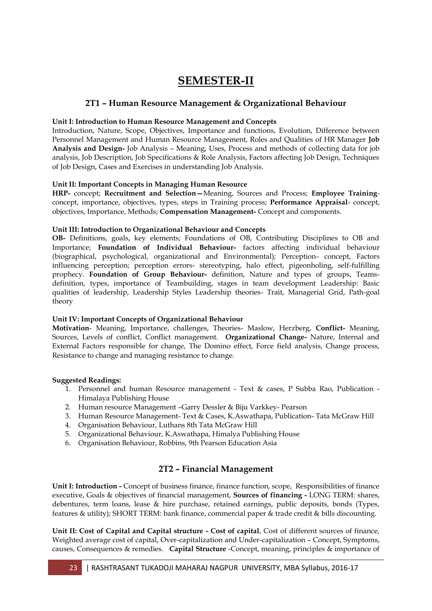# **SEMESTER-II**

## **2T1 – Human Resource Management & Organizational Behaviour**

#### **Unit I: Introduction to Human Resource Management and Concepts**

Introduction, Nature, Scope, Objectives, Importance and functions, Evolution, Difference between Personnel Management and Human Resource Management, Roles and Qualities of HR Manager **Job Analysis and Design-** Job Analysis – Meaning, Uses, Process and methods of collecting data for job analysis, Job Description, Job Specifications & Role Analysis, Factors affecting Job Design, Techniques of Job Design, Cases and Exercises in understanding Job Analysis.

### **Unit II: Important Concepts in Managing Human Resource**

**HRP-** concept; **Recruitment and Selection—**Meaning, Sources and Process; **Employee Training**concept, importance, objectives, types, steps in Training process; **Performance Appraisal**- concept, objectives, Importance, Methods; **Compensation Management-** Concept and components.

#### **Unit III: Introduction to Organizational Behaviour and Concepts**

**OB-** Definitions, goals, key elements; Foundations of OB, Contributing Disciplines to OB and Importance; **Foundation of Individual Behaviour-** factors affecting individual behaviour (biographical, psychological, organizational and Environmental); Perception- concept, Factors influencing perception; perception errors- stereotyping, halo effect, pigeonholing, self-fulfilling prophecy. **Foundation of Group Behaviour-** definition, Nature and types of groups, Teamsdefinition, types, importance of Teambuilding, stages in team development Leadership: Basic qualities of leadership, Leadership Styles Leadership theories- Trait, Managerial Grid, Path-goal theory

#### **Unit IV: Important Concepts of Organizational Behaviour**

**Motivation**- Meaning, Importance, challenges, Theories- Maslow, Herzberg, **Conflict-** Meaning, Sources, Levels of conflict, Conflict management. **Organizational Change-** Nature, Internal and External Factors responsible for change, The Domino effect, Force field analysis, Change process, Resistance to change and managing resistance to change.

#### **Suggested Readings:**

- 1. Personnel and human Resource management Text & cases, P Subba Rao, Publication Himalaya Publishing House
- 2. Human resource Management –Garry Dessler & Biju Varkkey- Pearson
- 3. Human Resource Management- Text & Cases, K.Aswathapa, Publication- Tata McGraw Hill
- 4. Organisation Behaviour, Luthans 8th Tata McGraw Hill
- 5. Organizational Behaviour, K.Aswathapa, Himalya Publishing House
- 6. Organisation Behaviour, Robbins, 9th Pearson Education Asia

## **2T2 – Financial Management**

**Unit I: Introduction -** Concept of business finance, finance function, scope, Responsibilities of finance executive, Goals & objectives of financial management, **Sources of financing -** LONG TERM: shares, debentures, term loans, lease & hire purchase, retained earnings, public deposits, bonds (Types, features & utility); SHORT TERM: bank finance, commercial paper & trade credit & bills discounting.

**Unit II: Cost of Capital and Capital structure - Cost of capital**, Cost of different sources of finance, Weighted average cost of capital, Over-capitalization and Under-capitalization – Concept, Symptoms, causes, Consequences & remedies. **Capital Structure** -Concept, meaning, principles & importance of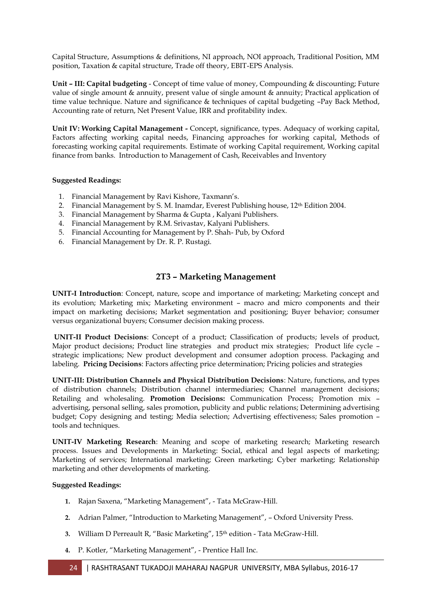Capital Structure, Assumptions & definitions, NI approach, NOI approach, Traditional Position, MM position, Taxation & capital structure, Trade off theory, EBIT-EPS Analysis.

**Unit – III: Capital budgeting** - Concept of time value of money, Compounding & discounting; Future value of single amount & annuity, present value of single amount & annuity; Practical application of time value technique. Nature and significance & techniques of capital budgeting –Pay Back Method, Accounting rate of return, Net Present Value, IRR and profitability index.

**Unit IV: Working Capital Management -** Concept, significance, types. Adequacy of working capital, Factors affecting working capital needs, Financing approaches for working capital, Methods of forecasting working capital requirements. Estimate of working Capital requirement, Working capital finance from banks. Introduction to Management of Cash, Receivables and Inventory

#### **Suggested Readings:**

- 1. Financial Management by Ravi Kishore, Taxmann's.
- 2. Financial Management by S. M. Inamdar, Everest Publishing house,  $12<sup>th</sup>$  Edition 2004.
- 3. Financial Management by Sharma & Gupta , Kalyani Publishers.
- 4. Financial Management by R.M. Srivastav, Kalyani Publishers.
- 5. Financial Accounting for Management by P. Shah- Pub, by Oxford
- 6. Financial Management by Dr. R. P. Rustagi.

### **2T3 – Marketing Management**

**UNIT-I Introduction**: Concept, nature, scope and importance of marketing; Marketing concept and its evolution; Marketing mix; Marketing environment – macro and micro components and their impact on marketing decisions; Market segmentation and positioning; Buyer behavior; consumer versus organizational buyers; Consumer decision making process.

**UNIT-II Product Decisions**: Concept of a product; Classification of products; levels of product, Major product decisions; Product line strategies and product mix strategies; Product life cycle – strategic implications; New product development and consumer adoption process. Packaging and labeling. **Pricing Decisions**: Factors affecting price determination; Pricing policies and strategies

**UNIT-III: Distribution Channels and Physical Distribution Decisions**: Nature, functions, and types of distribution channels; Distribution channel intermediaries; Channel management decisions; Retailing and wholesaling. **Promotion Decisions:** Communication Process; Promotion mix – advertising, personal selling, sales promotion, publicity and public relations; Determining advertising budget; Copy designing and testing; Media selection; Advertising effectiveness; Sales promotion – tools and techniques.

**UNIT-IV Marketing Research**: Meaning and scope of marketing research; Marketing research process. Issues and Developments in Marketing: Social, ethical and legal aspects of marketing; Marketing of services; International marketing; Green marketing; Cyber marketing; Relationship marketing and other developments of marketing.

#### **Suggested Readings:**

- **1.** Rajan Saxena, "Marketing Management", Tata McGraw-Hill.
- **2.** Adrian Palmer, "Introduction to Marketing Management", Oxford University Press.
- **3.** William D Perreault R, "Basic Marketing", 15th edition Tata McGraw-Hill.
- **4.** P. Kotler, "Marketing Management", Prentice Hall Inc.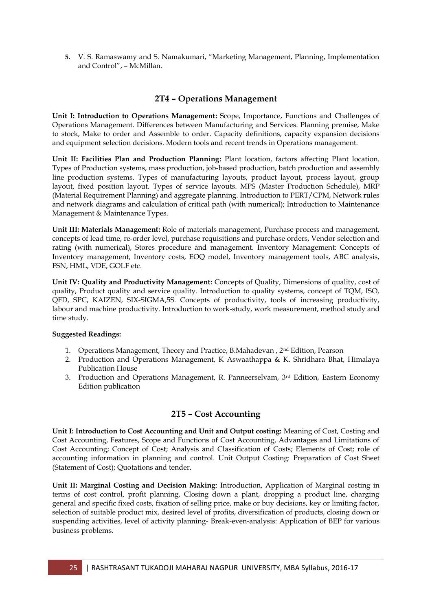**5.** V. S. Ramaswamy and S. Namakumari, "Marketing Management, Planning, Implementation and Control", – McMillan.

## **2T4 – Operations Management**

**Unit I: Introduction to Operations Management:** Scope, Importance, Functions and Challenges of Operations Management. Differences between Manufacturing and Services. Planning premise, Make to stock, Make to order and Assemble to order. Capacity definitions, capacity expansion decisions and equipment selection decisions. Modern tools and recent trends in Operations management.

**Unit II: Facilities Plan and Production Planning:** Plant location, factors affecting Plant location. Types of Production systems, mass production, job-based production, batch production and assembly line production systems. Types of manufacturing layouts, product layout, process layout, group layout, fixed position layout. Types of service layouts. MPS (Master Production Schedule), MRP (Material Requirement Planning) and aggregate planning. Introduction to PERT/CPM, Network rules and network diagrams and calculation of critical path (with numerical); Introduction to Maintenance Management & Maintenance Types.

**Unit III: Materials Management:** Role of materials management, Purchase process and management, concepts of lead time, re-order level, purchase requisitions and purchase orders, Vendor selection and rating (with numerical), Stores procedure and management. Inventory Management: Concepts of Inventory management, Inventory costs, EOQ model, Inventory management tools, ABC analysis, FSN, HML, VDE, GOLF etc.

**Unit IV: Quality and Productivity Management:** Concepts of Quality, Dimensions of quality, cost of quality, Product quality and service quality. Introduction to quality systems, concept of TQM, ISO, QFD, SPC, KAIZEN, SIX-SIGMA,5S. Concepts of productivity, tools of increasing productivity, labour and machine productivity. Introduction to work-study, work measurement, method study and time study.

#### **Suggested Readings:**

- 1. Operations Management, Theory and Practice, B.Mahadevan , 2nd Edition, Pearson
- 2. Production and Operations Management, K Aswaathappa & K. Shridhara Bhat, Himalaya Publication House
- 3. Production and Operations Management, R. Panneerselvam,  $3<sup>rd</sup>$  Edition, Eastern Economy Edition publication

## **2T5 – Cost Accounting**

**Unit I: Introduction to Cost Accounting and Unit and Output costing:** Meaning of Cost, Costing and Cost Accounting, Features, Scope and Functions of Cost Accounting, Advantages and Limitations of Cost Accounting; Concept of Cost; Analysis and Classification of Costs; Elements of Cost; role of accounting information in planning and control. Unit Output Costing: Preparation of Cost Sheet (Statement of Cost); Quotations and tender.

**Unit II: Marginal Costing and Decision Making**: Introduction, Application of Marginal costing in terms of cost control, profit planning, Closing down a plant, dropping a product line, charging general and specific fixed costs, fixation of selling price, make or buy decisions, key or limiting factor, selection of suitable product mix, desired level of profits, diversification of products, closing down or suspending activities, level of activity planning- Break-even-analysis: Application of BEP for various business problems.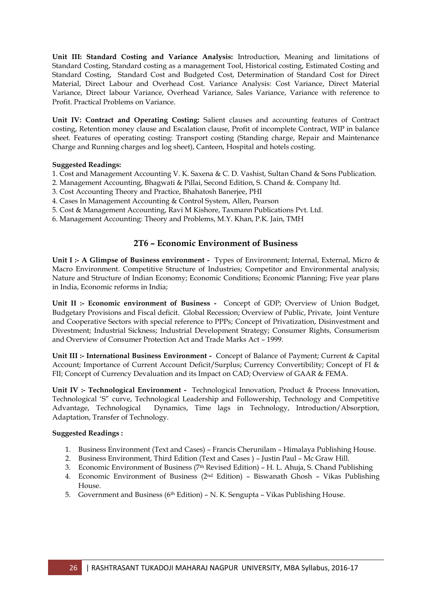**Unit III: Standard Costing and Variance Analysis:** Introduction, Meaning and limitations of Standard Costing, Standard costing as a management Tool, Historical costing, Estimated Costing and Standard Costing, Standard Cost and Budgeted Cost, Determination of Standard Cost for Direct Material, Direct Labour and Overhead Cost. Variance Analysis: Cost Variance, Direct Material Variance, Direct labour Variance, Overhead Variance, Sales Variance, Variance with reference to Profit. Practical Problems on Variance.

**Unit IV: Contract and Operating Costing:** Salient clauses and accounting features of Contract costing, Retention money clause and Escalation clause, Profit of incomplete Contract, WIP in balance sheet. Features of operating costing: Transport costing (Standing charge, Repair and Maintenance Charge and Running charges and log sheet), Canteen, Hospital and hotels costing.

#### **Suggested Readings:**

- 1. Cost and Management Accounting V. K. Saxena & C. D. Vashist, Sultan Chand & Sons Publication.
- 2. Management Accounting, Bhagwati & Pillai, Second Edition, S. Chand &. Company ltd.
- 3. Cost Accounting Theory and Practice, Bhahatosh Banerjee, PHI
- 4. Cases In Management Accounting & Control System, Allen, Pearson
- 5. Cost & Management Accounting, Ravi M Kishore, Taxmann Publications Pvt. Ltd.
- 6. Management Accounting: Theory and Problems, M.Y. Khan, P.K. Jain, TMH

### **2T6 – Economic Environment of Business**

**Unit I :- A Glimpse of Business environment -** Types of Environment; Internal, External, Micro & Macro Environment. Competitive Structure of Industries; Competitor and Environmental analysis; Nature and Structure of Indian Economy; Economic Conditions; Economic Planning; Five year plans in India, Economic reforms in India;

**Unit II :- Economic environment of Business -** Concept of GDP; Overview of Union Budget, Budgetary Provisions and Fiscal deficit. Global Recession; Overview of Public, Private, Joint Venture and Cooperative Sectors with special reference to PPPs; Concept of Privatization, Disinvestment and Divestment; Industrial Sickness; Industrial Development Strategy; Consumer Rights, Consumerism and Overview of Consumer Protection Act and Trade Marks Act – 1999.

**Unit III :- International Business Environment -** Concept of Balance of Payment; Current & Capital Account; Importance of Current Account Deficit/Surplus; Currency Convertibility; Concept of FI & FII; Concept of Currency Devaluation and its Impact on CAD; Overview of GAAR & FEMA.

**Unit IV :- Technological Environment -** Technological Innovation, Product & Process Innovation, Technological "S" curve, Technological Leadership and Followership, Technology and Competitive Advantage, Technological Dynamics, Time lags in Technology, Introduction/Absorption, Adaptation, Transfer of Technology.

#### **Suggested Readings :**

- 1. Business Environment (Text and Cases) Francis Cherunilam Himalaya Publishing House.
- 2. Business Environment, Third Edition (Text and Cases ) Justin Paul Mc Graw Hill.
- 3. Economic Environment of Business (7th Revised Edition) H. L. Ahuja, S. Chand Publishing
- 4. Economic Environment of Business (2nd Edition) Biswanath Ghosh Vikas Publishing House.
- 5. Government and Business ( $6<sup>th</sup>$  Edition) N. K. Sengupta Vikas Publishing House.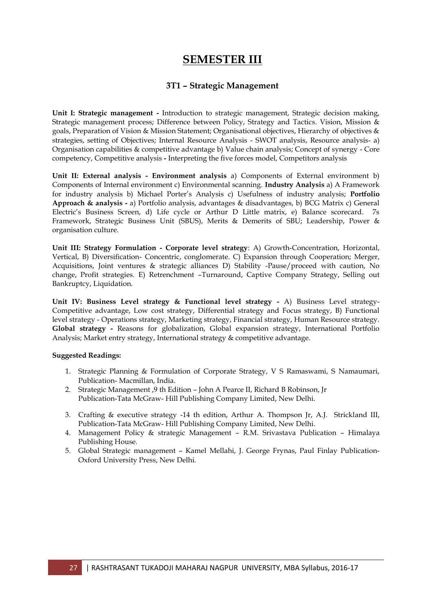## **SEMESTER III**

## **3T1 – Strategic Management**

**Unit I: Strategic management -** Introduction to strategic management, Strategic decision making, Strategic management process; [Difference between Policy, Strategy and Tactics](http://www.rcw.raifoundation.org/management/mba/strategicmanagement/lecture-notes/lecture-03.pdf). Vision, Mission & goals, Preparation of Vision & Mission Statement; Organisational objectives, Hierarchy of objectives & strategies, setting of Objectives; Internal Resource Analysis - SWOT analysis, Resource analysis- a) Organisation capabilities & competitive advantage b) Value chain analysis; Concept of synergy - Core competency, Competitive analysis **-** Interpreting the five forces model, Competitors analysis

**Unit II: External analysis - Environment analysis** a) Components of External environment b) Components of Internal environment c) Environmental scanning. **Industry Analysis** a) A Framework for industry analysis b) Michael Porter"s Analysis c) Usefulness of industry analysis; **Portfolio Approach & analysis -** a) Portfolio analysis, advantages & disadvantages, b) BCG Matrix c) General Electric's Business Screen, d) Life cycle or Arthur D Little matrix, e) Balance scorecard. 7s Framework, Strategic Business Unit (SBUS), Merits & Demerits of SBU; Leadership, Power & organisation culture.

**Unit III: Strategy Formulation - Corporate level strategy**: A) Growth-Concentration, Horizontal, Vertical, B) Diversification- Concentric, conglomerate. C) Expansion through Cooperation; Merger, Acquisitions, Joint ventures & strategic alliances D) Stability -Pause/proceed with caution, No change, Profit strategies. E) Retrenchment –Turnaround, Captive Company Strategy, Selling out Bankruptcy, Liquidation.

**Unit IV: Business Level strategy & Functional level strategy -** A) Business Level strategy-Competitive advantage, Low cost strategy, Differential strategy and Focus strategy, B) Functional level strategy - Operations strategy, Marketing strategy, Financial strategy, Human Resource strategy. **Global strategy -** Reasons for globalization, Global expansion strategy, International Portfolio Analysis; Market entry strategy, International strategy & competitive advantage.

#### **Suggested Readings:**

- 1. Strategic Planning & Formulation of Corporate Strategy, V S Ramaswami, S Namaumari, Publication- Macmillan, India.
- 2. Strategic Management ,9 th Edition John A Pearce II, Richard B Robinson, Jr Publication-Tata McGraw- Hill Publishing Company Limited, New Delhi.
- 3. Crafting & executive strategy -14 th edition, Arthur A. Thompson Jr, A.J. Strickland III, Publication-Tata McGraw- Hill Publishing Company Limited, New Delhi.
- 4. Management Policy & strategic Management R.M. Srivastava Publication Himalaya Publishing House.
- 5. Global Strategic management Kamel Mellahi, J. George Frynas, Paul Finlay Publication-Oxford University Press, New Delhi.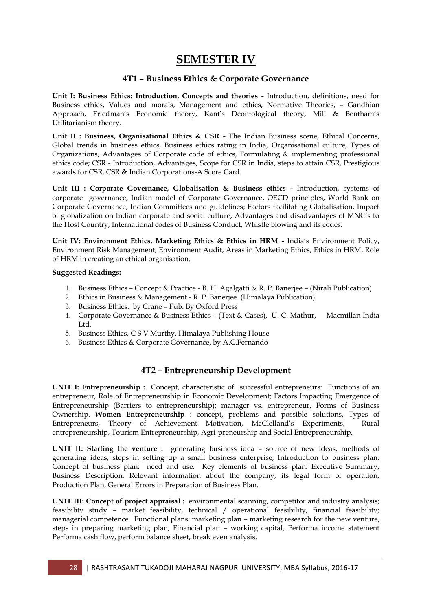# **SEMESTER IV**

## **4T1 – Business Ethics & Corporate Governance**

**Unit I: Business Ethics: Introduction, Concepts and theories -** Introduction, definitions, need for Business ethics, Values and morals, Management and ethics, Normative Theories, – Gandhian Approach, Friedman"s Economic theory, Kant"s Deontological theory, Mill & Bentham"s Utilitarianism theory.

**Unit II : Business, Organisational Ethics & CSR -** The Indian Business scene, Ethical Concerns, Global trends in business ethics, Business ethics rating in India, Organisational culture, Types of Organizations, Advantages of Corporate code of ethics, Formulating & implementing professional ethics code; CSR - Introduction, Advantages, Scope for CSR in India, steps to attain CSR, Prestigious awards for CSR, CSR & Indian Corporations-A Score Card.

**Unit III : Corporate Governance, Globalisation & Business ethics -** Introduction, systems of corporate governance, Indian model of Corporate Governance, OECD principles, World Bank on Corporate Governance, Indian Committees and guidelines; Factors facilitating Globalisation, Impact of globalization on Indian corporate and social culture, Advantages and disadvantages of MNC"s to the Host Country, International codes of Business Conduct, Whistle blowing and its codes.

**Unit IV: Environment Ethics, Marketing Ethics & Ethics in HRM -** India"s Environment Policy, Environment Risk Management, Environment Audit, Areas in Marketing Ethics, Ethics in HRM, Role of HRM in creating an ethical organisation.

#### **Suggested Readings:**

- 1. Business Ethics Concept & Practice B. H. Agalgatti & R. P. Banerjee (Nirali Publication)
- 2. Ethics in Business & Management R. P. Banerjee (Himalaya Publication)
- 3. Business Ethics. by Crane Pub. By Oxford Press
- 4. Corporate Governance & Business Ethics (Text & Cases), U. C. Mathur, Macmillan India Ltd.
- 5. Business Ethics, C S V Murthy, Himalaya Publishing House
- 6. Business Ethics & Corporate Governance, by A.C.Fernando

## **4T2 – Entrepreneurship Development**

**UNIT I: Entrepreneurship :** Concept, characteristic of successful entrepreneurs: Functions of an entrepreneur, Role of Entrepreneurship in Economic Development; Factors Impacting Emergence of Entrepreneurship (Barriers to entrepreneurship); manager vs. entrepreneur, Forms of Business Ownership. **Women Entrepreneurship** : concept, problems and possible solutions, Types of Entrepreneurs, Theory of Achievement Motivation, McClelland"s Experiments, Rural entrepreneurship, Tourism Entrepreneurship, Agri-preneurship and Social Entrepreneurship.

**UNIT II: Starting the venture :** generating business idea – source of new ideas, methods of generating ideas, steps in setting up a small business enterprise, Introduction to business plan: Concept of business plan: need and use. Key elements of business plan: Executive Summary, Business Description, Relevant information about the company, its legal form of operation, Production Plan, General Errors in Preparation of Business Plan.

**UNIT III: Concept of project appraisal :** environmental scanning, competitor and industry analysis; feasibility study – market feasibility, technical / operational feasibility, financial feasibility; managerial competence. Functional plans: marketing plan – marketing research for the new venture, steps in preparing marketing plan, Financial plan – working capital, Performa income statement Performa cash flow, perform balance sheet, break even analysis.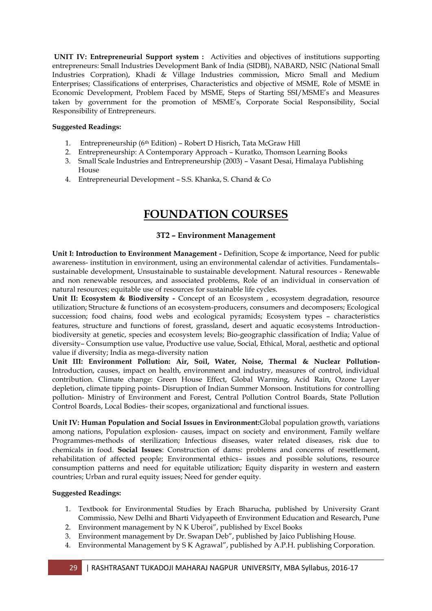**UNIT IV: Entrepreneurial Support system :** Activities and objectives of institutions supporting entrepreneurs: Small Industries Development Bank of India (SIDBI), NABARD, NSIC (National Small Industries Corpration), Khadi & Village Industries commission, Micro Small and Medium Enterprises; Classifications of enterprises, Characteristics and objective of MSME, Role of MSME in Economic Development, Problem Faced by MSME, Steps of Starting SSI/MSME"s and Measures taken by government for the promotion of MSME"s, Corporate Social Responsibility, Social Responsibility of Entrepreneurs.

#### **Suggested Readings:**

- 1. Entrepreneurship (6th Edition) Robert D Hisrich, Tata McGraw Hill
- 2. Entrepreneurship: A Contemporary Approach Kuratko, Thomson Learning Books
- 3. Small Scale Industries and Entrepreneurship (2003) Vasant Desai, Himalaya Publishing House
- 4. Entrepreneurial Development S.S. Khanka, S. Chand & Co

# **FOUNDATION COURSES**

### **3T2 – Environment Management**

**Unit I: Introduction to Environment Management -** Definition, Scope & importance, Need for public awareness- institution in environment, using an environmental calendar of activities. Fundamentals– sustainable development, Unsustainable to sustainable development. Natural resources - Renewable and non renewable resources, and associated problems, Role of an individual in conservation of natural resources; equitable use of resources for sustainable life cycles.

Unit II: Ecosystem & Biodiversity - Concept of an Ecosystem , ecosystem degradation, resource utilization; Structure & functions of an ecosystem-producers, consumers and decomposers; Ecological succession; food chains, food webs and ecological pyramids; Ecosystem types – characteristics features, structure and functions of forest, grassland, desert and aquatic ecosystems Introductionbiodiversity at genetic, species and ecosystem levels; Bio-geographic classification of India; Value of diversity– Consumption use value, Productive use value, Social, Ethical, Moral, aesthetic and optional value if diversity; India as mega-diversity nation

**Unit III: Environment Pollution: Air, Soil, Water, Noise, Thermal & Nuclear Pollution-**Introduction, causes, impact on health, environment and industry, measures of control, individual contribution. Climate change: Green House Effect, Global Warming, Acid Rain, Ozone Layer depletion, climate tipping points- Disruption of Indian Summer Monsoon. Institutions for controlling pollution- Ministry of Environment and Forest, Central Pollution Control Boards, State Pollution Control Boards, Local Bodies- their scopes, organizational and functional issues.

**Unit IV: Human Population and Social Issues in Environment:**Global population growth, variations among nations, Population explosion- causes, impact on society and environment, Family welfare Programmes-methods of sterilization; Infectious diseases, water related diseases, risk due to chemicals in food. **Social Issues**: Construction of dams: problems and concerns of resettlement, rehabilitation of affected people; Environmental ethics– issues and possible solutions, resource consumption patterns and need for equitable utilization; Equity disparity in western and eastern countries; Urban and rural equity issues; Need for gender equity.

#### **Suggested Readings:**

- 1. Textbook for Environmental Studies by Erach Bharucha, published by University Grant Commissio, New Delhi and Bharti Vidyapeeth of Environment Education and Research, Pune
- 2. Environment management by N K Uberoi", published by Excel Books
- 3. Environment management by Dr. Swapan Deb", published by Jaico Publishing House.
- 4. Environmental Management by S K Agrawal", published by A.P.H. publishing Corporation.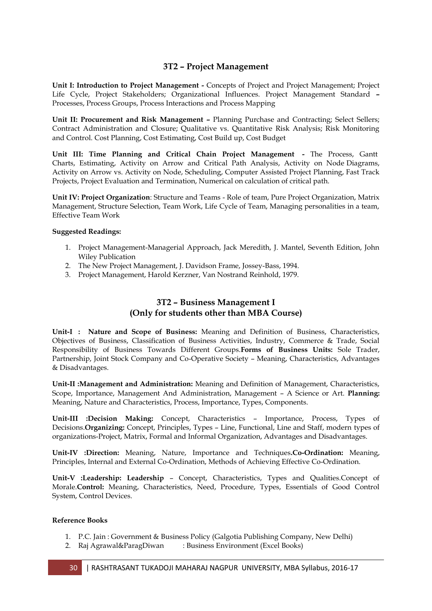## **3T2 – Project Management**

**Unit I: Introduction to Project Management -** Concepts of Project and Project Management; Project Life Cycle, Project Stakeholders; Organizational Influences. Project Management Standard **–** Processes, Process Groups, Process Interactions and Process Mapping

**Unit II: Procurement and Risk Management –** Planning Purchase and Contracting; Select Sellers; Contract Administration and Closure; Qualitative vs. Quantitative Risk Analysis; Risk Monitoring and Control. Cost Planning, Cost Estimating, Cost Build up, Cost Budget

**Unit III: Time Planning and Critical Chain Project Management -** The Process, Gantt Charts, Estimating, Activity on Arrow and Critical Path Analysis, Activity on Node Diagrams, Activity on Arrow vs. Activity on Node, Scheduling, Computer Assisted Project Planning, Fast Track Projects, Project Evaluation and Termination, Numerical on calculation of critical path.

**Unit IV: Project Organization**: Structure and Teams - Role of team, Pure Project Organization, Matrix Management, Structure Selection, Team Work, Life Cycle of Team, Managing personalities in a team, Effective Team Work

#### **Suggested Readings:**

- 1. Project Management-Managerial Approach, Jack Meredith, J. Mantel, Seventh Edition, John Wiley Publication
- 2. The New Project Management, J. Davidson Frame, Jossey-Bass, 1994.
- 3. Project Management, Harold Kerzner, Van Nostrand Reinhold, 1979.

## **3T2 – Business Management I (Only for students other than MBA Course)**

**Unit-I : Nature and Scope of Business:** Meaning and Definition of Business, Characteristics, Objectives of Business, Classification of Business Activities, Industry, Commerce & Trade, Social Responsibility of Business Towards Different Groups.**Forms of Business Units:** Sole Trader, Partnership, Joint Stock Company and Co-Operative Society – Meaning, Characteristics, Advantages & Disadvantages.

**Unit-II :Management and Administration:** Meaning and Definition of Management, Characteristics, Scope, Importance, Management And Administration, Management – A Science or Art. **Planning:**  Meaning, Nature and Characteristics, Process, Importance, Types, Components.

**Unit-III :Decision Making:** Concept, Characteristics – Importance, Process, Types of Decisions.**Organizing:** Concept, Principles, Types – Line, Functional, Line and Staff, modern types of organizations-Project, Matrix, Formal and Informal Organization, Advantages and Disadvantages.

**Unit-IV :Direction:** Meaning, Nature, Importance and Techniques**.Co-Ordination:** Meaning, Principles, Internal and External Co-Ordination, Methods of Achieving Effective Co-Ordination.

**Unit-V :Leadership: Leadership** – Concept, Characteristics, Types and Qualities.Concept of Morale.**Control:** Meaning, Characteristics, Need, Procedure, Types, Essentials of Good Control System, Control Devices.

#### **Reference Books**

- 1. P.C. Jain : Government & Business Policy (Galgotia Publishing Company, New Delhi)
- 2. Raj Agrawal&ParagDiwan : Business Environment (Excel Books)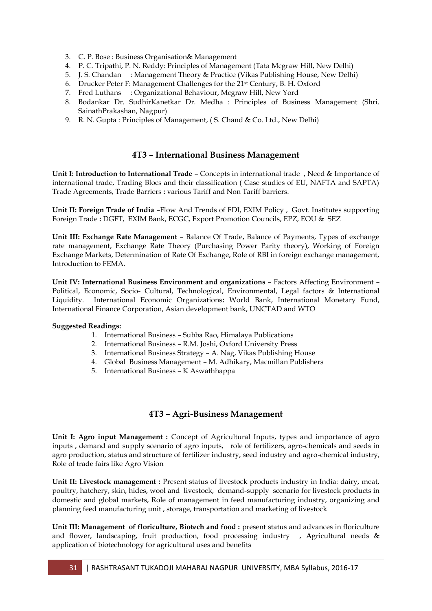- 3. C. P. Bose : Business Organisation& Management
- 4. P. C. Tripathi, P. N. Reddy: Principles of Management (Tata Mcgraw Hill, New Delhi)
- 5. J. S. Chandan : Management Theory & Practice (Vikas Publishing House, New Delhi)
- 6. Drucker Peter F: Management Challenges for the 21st Century, B. H. Oxford
- 7. Fred Luthans : Organizational Behaviour, Mcgraw Hill, New Yord
- 8. Bodankar Dr. SudhirKanetkar Dr. Medha : Principles of Business Management (Shri. SainathPrakashan, Nagpur)
- 9. R. N. Gupta : Principles of Management, ( S. Chand & Co. Ltd., New Delhi)

### **4T3 – International Business Management**

**Unit I: Introduction to International Trade** – Concepts in international trade , Need & Importance of international trade, Trading Blocs and their classification ( Case studies of EU, NAFTA and SAPTA) Trade Agreements, Trade Barriers **:** various Tariff and Non Tariff barriers.

**Unit II: Foreign Trade of India** –Flow And Trends of FDI, EXIM Policy , Govt. Institutes supporting Foreign Trade **:** DGFT, EXIM Bank, ECGC, Export Promotion Councils, EPZ, EOU & SEZ

**Unit III: Exchange Rate Management** – Balance Of Trade, Balance of Payments, Types of exchange rate management, Exchange Rate Theory (Purchasing Power Parity theory), Working of Foreign Exchange Markets, Determination of Rate Of Exchange, Role of RBI in foreign exchange management, Introduction to FEMA.

**Unit IV: International Business Environment and organizations** – Factors Affecting Environment – Political, Economic, Socio- Cultural, Technological, Environmental, Legal factors & International Liquidity. International Economic Organizations**:** World Bank, International Monetary Fund, International Finance Corporation, Asian development bank, UNCTAD and WTO

#### **Suggested Readings:**

- 1. International Business Subba Rao, Himalaya Publications
- 2. International Business R.M. Joshi, Oxford University Press
- 3. International Business Strategy A. Nag, Vikas Publishing House
- 4. Global Business Management M. Adhikary, Macmillan Publishers
- 5. International Business K Aswathhappa

## **4T3 – Agri-Business Management**

Unit I: Agro input Management : Concept of Agricultural Inputs, types and importance of agro inputs , demand and supply scenario of agro inputs, role of fertilizers, agro-chemicals and seeds in agro production, status and structure of fertilizer industry, seed industry and agro-chemical industry, Role of trade fairs like Agro Vision

**Unit II: Livestock management :** Present status of livestock products industry in India: dairy, meat, poultry, hatchery, skin, hides, wool and livestock, demand-supply scenario for livestock products in domestic and global markets, Role of management in feed manufacturing industry, organizing and planning feed manufacturing unit , storage, transportation and marketing of livestock

**Unit III: Management of floriculture, Biotech and food :** present status and advances in floriculture and flower, landscaping, fruit production, food processing industry , **A**gricultural needs & application of biotechnology for agricultural uses and benefits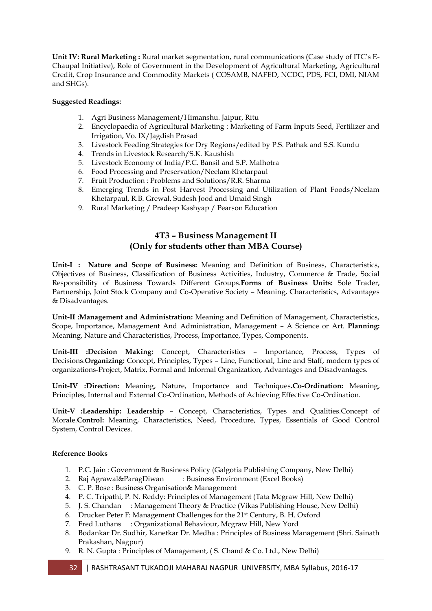**Unit IV: Rural Marketing :** Rural market segmentation, rural communications (Case study of ITC's E-Chaupal Initiative), Role of Government in the Development of Agricultural Marketing, Agricultural Credit, Crop Insurance and Commodity Markets ( COSAMB, NAFED, NCDC, PDS, FCI, DMI, NIAM and SHGs).

### **Suggested Readings:**

- 1. Agri Business Management/Himanshu. Jaipur, Ritu
- 2. Encyclopaedia of Agricultural Marketing : Marketing of Farm Inputs Seed, Fertilizer and Irrigation, Vo. IX/Jagdish Prasad
- 3. Livestock Feeding Strategies for Dry Regions/edited by P.S. Pathak and S.S. Kundu
- 4. Trends in Livestock Research/S.K. Kaushish
- 5. Livestock Economy of India/P.C. Bansil and S.P. Malhotra
- 6. Food Processing and Preservation/Neelam Khetarpaul
- 7. Fruit Production : Problems and Solutions/R.R. Sharma
- 8. Emerging Trends in Post Harvest Processing and Utilization of Plant Foods/Neelam Khetarpaul, R.B. Grewal, Sudesh Jood and Umaid Singh
- 9. Rural Marketing / Pradeep Kashyap / Pearson Education

## **4T3 – Business Management II (Only for students other than MBA Course)**

**Unit-I : Nature and Scope of Business:** Meaning and Definition of Business, Characteristics, Objectives of Business, Classification of Business Activities, Industry, Commerce & Trade, Social Responsibility of Business Towards Different Groups.**Forms of Business Units:** Sole Trader, Partnership, Joint Stock Company and Co-Operative Society – Meaning, Characteristics, Advantages & Disadvantages.

**Unit-II :Management and Administration:** Meaning and Definition of Management, Characteristics, Scope, Importance, Management And Administration, Management – A Science or Art. **Planning:**  Meaning, Nature and Characteristics, Process, Importance, Types, Components.

**Unit-III :Decision Making:** Concept, Characteristics – Importance, Process, Types of Decisions.**Organizing:** Concept, Principles, Types – Line, Functional, Line and Staff, modern types of organizations-Project, Matrix, Formal and Informal Organization, Advantages and Disadvantages.

**Unit-IV :Direction:** Meaning, Nature, Importance and Techniques**.Co-Ordination:** Meaning, Principles, Internal and External Co-Ordination, Methods of Achieving Effective Co-Ordination.

**Unit-V :Leadership: Leadership** – Concept, Characteristics, Types and Qualities.Concept of Morale.**Control:** Meaning, Characteristics, Need, Procedure, Types, Essentials of Good Control System, Control Devices.

#### **Reference Books**

- 1. P.C. Jain : Government & Business Policy (Galgotia Publishing Company, New Delhi)
- 2. Raj Agrawal&ParagDiwan : Business Environment (Excel Books)
- 3. C. P. Bose : Business Organisation& Management
- 4. P. C. Tripathi, P. N. Reddy: Principles of Management (Tata Mcgraw Hill, New Delhi)
- 5. J. S. Chandan : Management Theory & Practice (Vikas Publishing House, New Delhi)
- 6. Drucker Peter F: Management Challenges for the 21st Century, B. H. Oxford
- 7. Fred Luthans : Organizational Behaviour, Mcgraw Hill, New Yord
- 8. Bodankar Dr. Sudhir, Kanetkar Dr. Medha : Principles of Business Management (Shri. Sainath Prakashan, Nagpur)
- 9. R. N. Gupta : Principles of Management, ( S. Chand & Co. Ltd., New Delhi)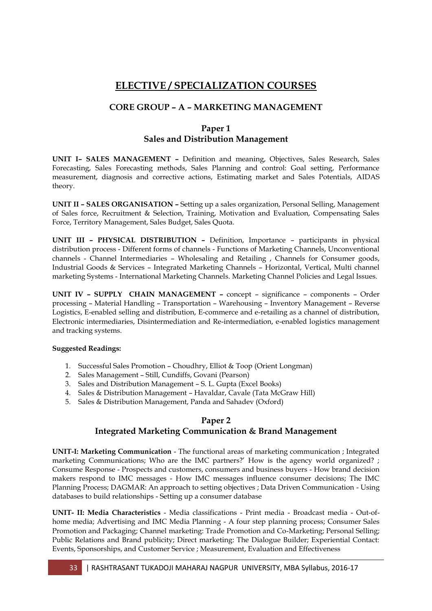## **ELECTIVE / SPECIALIZATION COURSES**

## **CORE GROUP – A – MARKETING MANAGEMENT**

## **Paper 1 Sales and Distribution Management**

**UNIT I– SALES MANAGEMENT –** Definition and meaning, Objectives, Sales Research, Sales Forecasting, Sales Forecasting methods, Sales Planning and control: Goal setting, Performance measurement, diagnosis and corrective actions, Estimating market and Sales Potentials, AIDAS theory.

**UNIT II – SALES ORGANISATION –** Setting up a sales organization, Personal Selling, Management of Sales force, Recruitment & Selection, Training, Motivation and Evaluation, Compensating Sales Force, Territory Management, Sales Budget, Sales Quota.

**UNIT III – PHYSICAL DISTRIBUTION –** Definition, Importance – participants in physical distribution process - Different forms of channels - Functions of Marketing Channels, Unconventional channels - Channel Intermediaries – Wholesaling and Retailing , Channels for Consumer goods, Industrial Goods & Services – Integrated Marketing Channels – Horizontal, Vertical, Multi channel marketing Systems - International Marketing Channels. Marketing Channel Policies and Legal Issues.

**UNIT IV – SUPPLY CHAIN MANAGEMENT –** concept – significance – components – Order processing – Material Handling – Transportation – Warehousing – Inventory Management – Reverse Logistics, E-enabled selling and distribution, E-commerce and e-retailing as a channel of distribution, Electronic intermediaries, Disintermediation and Re-intermediation, e-enabled logistics management and tracking systems.

#### **Suggested Readings:**

- 1. Successful Sales Promotion Choudhry, Elliot & Toop (Orient Longman)
- 2. Sales Management Still, Cundiffs, Govani (Pearson)
- 3. Sales and Distribution Management S. L. Gupta (Excel Books)
- 4. Sales & Distribution Management Havaldar, Cavale (Tata McGraw Hill)
- 5. Sales & Distribution Management, Panda and Sahadev (Oxford)

## **Paper 2**

## **Integrated Marketing Communication & Brand Management**

**UNIT-I: Marketing Communication** - The functional areas of marketing communication ; Integrated marketing Communications; Who are the IMC partners?' How is the agency world organized? ; Consume Response - Prospects and customers, consumers and business buyers - How brand decision makers respond to IMC messages - How IMC messages influence consumer decisions; The IMC Planning Process; DAGMAR: An approach to setting objectives ; Data Driven Communication - Using databases to build relationships - Setting up a consumer database

**UNIT- II: Media Characteristics** - Media classifications - Print media - Broadcast media - Out-ofhome media; Advertising and IMC Media Planning - A four step planning process; Consumer Sales Promotion and Packaging; Channel marketing: Trade Promotion and Co-Marketing; Personal Selling; Public Relations and Brand publicity; Direct marketing: The Dialogue Builder; Experiential Contact: Events, Sponsorships, and Customer Service ; Measurement, Evaluation and Effectiveness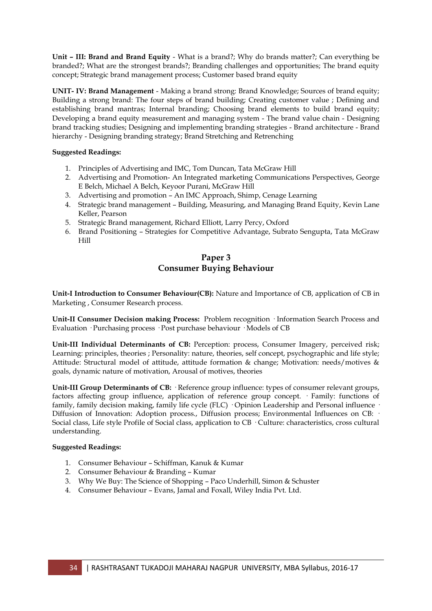**Unit – III: Brand and Brand Equity** - What is a brand?; Why do brands matter?; Can everything be branded?; What are the strongest brands?; Branding challenges and opportunities; The brand equity concept; Strategic brand management process; Customer based brand equity

**UNIT- IV: Brand Management** - Making a brand strong: Brand Knowledge; Sources of brand equity; Building a strong brand: The four steps of brand building; Creating customer value ; Defining and establishing brand mantras; Internal branding; Choosing brand elements to build brand equity; Developing a brand equity measurement and managing system - The brand value chain - Designing brand tracking studies; Designing and implementing branding strategies - Brand architecture - Brand hierarchy - Designing branding strategy; Brand Stretching and Retrenching

#### **Suggested Readings:**

- 1. Principles of Advertising and IMC, Tom Duncan, Tata McGraw Hill
- 2. Advertising and Promotion- An Integrated marketing Communications Perspectives, George E Belch, Michael A Belch, Keyoor Purani, McGraw Hill
- 3. Advertising and promotion An IMC Approach, Shimp, Cenage Learning
- 4. Strategic brand management Building, Measuring, and Managing Brand Equity, Kevin Lane Keller, Pearson
- 5. Strategic Brand management, Richard Elliott, Larry Percy, Oxford
- 6. Brand Positioning Strategies for Competitive Advantage, Subrato Sengupta, Tata McGraw Hill

## **Paper 3 Consumer Buying Behaviour**

**Unit-I Introduction to Consumer Behaviour(CB):** Nature and Importance of CB, application of CB in Marketing , Consumer Research process.

**Unit-II Consumer Decision making Process:** Problem recognition · Information Search Process and Evaluation · Purchasing process · Post purchase behaviour · Models of CB

**Unit-III Individual Determinants of CB:** Perception: process, Consumer Imagery, perceived risk; Learning: principles, theories ; Personality: nature, theories, self concept, psychographic and life style; Attitude: Structural model of attitude, attitude formation & change; Motivation: needs/motives & goals, dynamic nature of motivation, Arousal of motives, theories

**Unit-III Group Determinants of CB:** · Reference group influence: types of consumer relevant groups, factors affecting group influence, application of reference group concept. · Family: functions of family, family decision making, family life cycle (FLC) · Opinion Leadership and Personal influence · Diffusion of Innovation: Adoption process., Diffusion process; Environmental Influences on CB: Social class, Life style Profile of Social class, application to CB · Culture: characteristics, cross cultural understanding.

#### **Suggested Readings:**

- 1. Consumer Behaviour Schiffman, Kanuk & Kumar
- 2. Consumer Behaviour & Branding Kumar
- 3. Why We Buy: The Science of Shopping Paco Underhill, Simon & Schuster
- 4. Consumer Behaviour Evans, Jamal and Foxall, Wiley India Pvt. Ltd.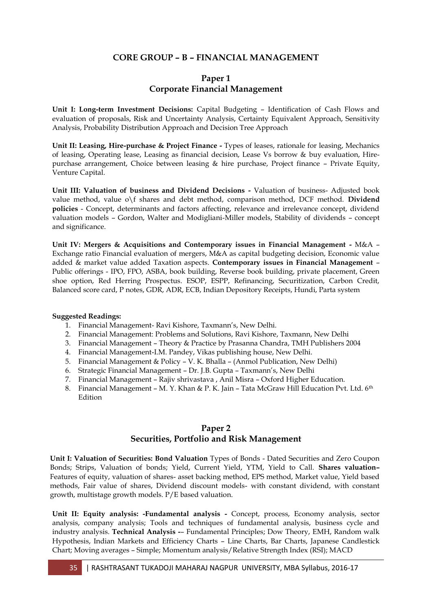## **CORE GROUP – B – FINANCIAL MANAGEMENT**

### **Paper 1 Corporate Financial Management**

**Unit I: Long-term Investment Decisions:** Capital Budgeting – Identification of Cash Flows and evaluation of proposals, Risk and Uncertainty Analysis, Certainty Equivalent Approach, Sensitivity Analysis, Probability Distribution Approach and Decision Tree Approach

**Unit II: Leasing, Hire-purchase & Project Finance -** Types of leases, rationale for leasing, Mechanics of leasing, Operating lease, Leasing as financial decision, Lease Vs borrow & buy evaluation, Hirepurchase arrangement, Choice between leasing & hire purchase, Project finance – Private Equity, Venture Capital.

**Unit III: Valuation of business and Dividend Decisions -** Valuation of business- Adjusted book value method, value o\f shares and debt method, comparison method, DCF method. **Dividend policies** - Concept, determinants and factors affecting, relevance and irrelevance concept, dividend valuation models – Gordon, Walter and Modigliani-Miller models, Stability of dividends – concept and significance.

**Unit IV: Mergers & Acquisitions and Contemporary issues in Financial Management -** M&A – Exchange ratio Financial evaluation of mergers, M&A as capital budgeting decision, Economic value added & market value added Taxation aspects. **Contemporary issues in Financial Management** – Public offerings - IPO, FPO, ASBA, book building, Reverse book building, private placement, Green shoe option, Red Herring Prospectus. ESOP, ESPP, Refinancing, Securitization, Carbon Credit, Balanced score card, P notes, GDR, ADR, ECB, Indian Depository Receipts, Hundi, Parta system

#### **Suggested Readings:**

- 1. Financial Management- Ravi Kishore, Taxmann"s, New Delhi.
- 2. Financial Management: Problems and Solutions, Ravi Kishore, Taxmann, New Delhi
- 3. Financial Management Theory & Practice by Prasanna Chandra, TMH Publishers 2004
- 4. Financial Management-I.M. Pandey, Vikas publishing house, New Delhi.
- 5. Financial Management & Policy V. K. Bhalla (Anmol Publication, New Delhi)
- 6. Strategic Financial Management Dr. J.B. Gupta Taxmann"s, New Delhi
- 7. Financial Management Rajiv shrivastava , Anil Misra Oxford Higher Education.
- 8. Financial Management M. Y. Khan & P. K. Jain Tata McGraw Hill Education Pvt. Ltd.  $6<sup>th</sup>$ Edition

### **Paper 2 Securities, Portfolio and Risk Management**

**Unit I: Valuation of Securities: Bond Valuation** Types of Bonds - Dated Securities and Zero Coupon Bonds; Strips, Valuation of bonds; Yield, Current Yield, YTM, Yield to Call. **Shares valuation–** Features of equity, valuation of shares- asset backing method, EPS method, Market value, Yield based methods, Fair value of shares, Dividend discount models- with constant dividend, with constant growth, multistage growth models. P/E based valuation.

**Unit II: Equity analysis: -Fundamental analysis -** Concept, process, Economy analysis, sector analysis, company analysis; Tools and techniques of fundamental analysis, business cycle and industry analysis. **Technical Analysis -**– Fundamental Principles; Dow Theory, EMH, Random walk Hypothesis, Indian Markets and Efficiency Charts – Line Charts, Bar Charts, Japanese Candlestick Chart; Moving averages – Simple; Momentum analysis/Relative Strength Index (RSI); MACD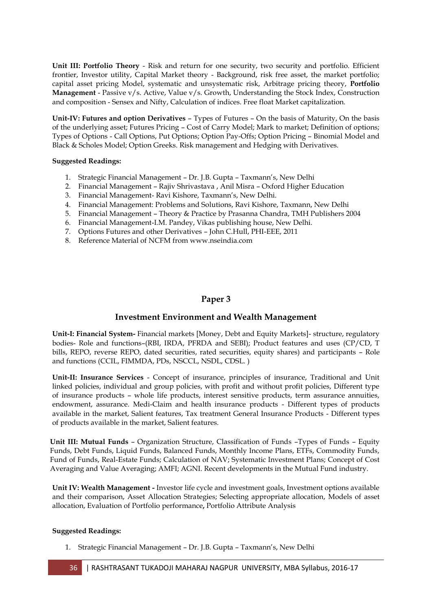**Unit III: Portfolio Theory** - Risk and return for one security, two security and portfolio. Efficient frontier, Investor utility, Capital Market theory - Background, risk free asset, the market portfolio; capital asset pricing Model, systematic and unsystematic risk, Arbitrage pricing theory, **Portfolio Management** - Passive v/s. Active, Value v/s. Growth, Understanding the Stock Index, Construction and composition - Sensex and Nifty, Calculation of indices. Free float Market capitalization.

**Unit-IV: Futures and option Derivatives** – Types of Futures – On the basis of Maturity, On the basis of the underlying asset; Futures Pricing – Cost of Carry Model; Mark to market; Definition of options; Types of Options - Call Options, Put Options; Option Pay-Offs; Option Pricing – Binomial Model and Black & Scholes Model; Option Greeks. Risk management and Hedging with Derivatives.

#### **Suggested Readings:**

- 1. Strategic Financial Management Dr. J.B. Gupta Taxmann's, New Delhi
- 2. Financial Management Rajiv Shrivastava , Anil Misra Oxford Higher Education
- 3. Financial Management- Ravi Kishore, Taxmann"s, New Delhi.
- 4. Financial Management: Problems and Solutions, Ravi Kishore, Taxmann, New Delhi
- 5. Financial Management Theory & Practice by Prasanna Chandra, TMH Publishers 2004
- 6. Financial Management-I.M. Pandey, Vikas publishing house, New Delhi.
- 7. Options Futures and other Derivatives John C.Hull, PHI-EEE, 2011
- 8. Reference Material of NCFM from www.nseindia.com

### **Paper 3**

#### **Investment Environment and Wealth Management**

**Unit-I: Financial System-** Financial markets [Money, Debt and Equity Markets]- structure, regulatory bodies- Role and functions–(RBI, IRDA, PFRDA and SEBI); Product features and uses (CP/CD, T bills, REPO, reverse REPO, dated securities, rated securities, equity shares) and participants – Role and functions (CCIL, FIMMDA, PDs, NSCCL, NSDL, CDSL. )

**Unit-II: Insurance Services** - Concept of insurance, principles of insurance, Traditional and Unit linked policies, individual and group policies, with profit and without profit policies, Different type of insurance products – whole life products, interest sensitive products, term assurance annuities, endowment, assurance. Medi-Claim and health insurance products - Different types of products available in the market, Salient features, Tax treatment General Insurance Products - Different types of products available in the market, Salient features.

**Unit III: Mutual Funds** – Organization Structure, Classification of Funds – Types of Funds – Equity Funds, Debt Funds, Liquid Funds, Balanced Funds, Monthly Income Plans, ETFs, Commodity Funds, Fund of Funds, Real-Estate Funds; Calculation of NAV; Systematic Investment Plans; Concept of Cost Averaging and Value Averaging; AMFI; AGNI. Recent developments in the Mutual Fund industry.

**Unit IV: Wealth Management -** Investor life cycle and investment goals, Investment options available and their comparison, Asset Allocation Strategies; Selecting appropriate allocation, Models of asset allocation, Evaluation of Portfolio performance**,** Portfolio Attribute Analysis

#### **Suggested Readings:**

1. Strategic Financial Management – Dr. J.B. Gupta – Taxmann"s, New Delhi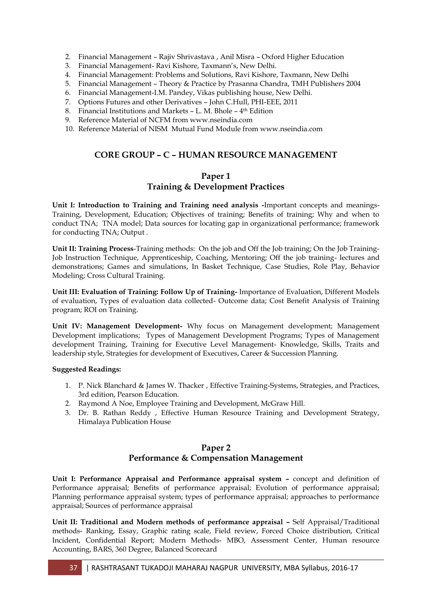- 2. Financial Management Rajiv Shrivastava , Anil Misra Oxford Higher Education
- 3. Financial Management- Ravi Kishore, Taxmann"s, New Delhi.
- 4. Financial Management: Problems and Solutions, Ravi Kishore, Taxmann, New Delhi
- 5. Financial Management Theory & Practice by Prasanna Chandra, TMH Publishers 2004
- 6. Financial Management-I.M. Pandey, Vikas publishing house, New Delhi.
- 7. Options Futures and other Derivatives John C.Hull, PHI-EEE, 2011
- 8. Financial Institutions and Markets L. M. Bhole 4<sup>th</sup> Edition
- 9. Reference Material of NCFM from www.nseindia.com
- 10. Reference Material of NISM Mutual Fund Module from www.nseindia.com

## **CORE GROUP – C – HUMAN RESOURCE MANAGEMENT**

## **Paper 1 Training & Development Practices**

**Unit I: Introduction to Training and Training need analysis -**Important concepts and meanings-Training, Development, Education; Objectives of training; Benefits of training; Why and when to conduct TNA; TNA model; Data sources for locating gap in organizational performance; framework for conducting TNA; Output .

**Unit II: Training Process**-Training methods: On the job and Off the Job training; On the Job Training-Job Instruction Technique, Apprenticeship, Coaching, Mentoring; Off the job training- lectures and demonstrations; Games and simulations, In Basket Technique, Case Studies, Role Play, Behavior Modeling; Cross Cultural Training.

**Unit III: Evaluation of Training: Follow Up of Training-** Importance of Evaluation, Different Models of evaluation, Types of evaluation data collected- Outcome data; Cost Benefit Analysis of Training program; ROI on Training.

**Unit IV: Management Development-** Why focus on Management development; Management Development implications; Types of Management Development Programs; Types of Management development Training, Training for Executive Level Management- Knowledge, Skills, Traits and leadership style, Strategies for development of Executives, Career & Succession Planning.

#### **Suggested Readings:**

- 1. P. Nick Blanchard & James W. Thacker , Effective Training-Systems, Strategies, and Practices, 3rd edition, Pearson Education.
- 2. Raymond A Noe, Employee Training and Development, McGraw Hill.
- 3. Dr. B. Rathan Reddy , Effective Human Resource Training and Development Strategy, Himalaya Publication House

### **Paper 2 Performance & Compensation Management**

**Unit I: Performance Appraisal and Performance appraisal system –** concept and definition of Performance appraisal; Benefits of performance appraisal; Evolution of performance appraisal; Planning performance appraisal system; types of performance appraisal; approaches to performance appraisal; Sources of performance appraisal

**Unit II: Traditional and Modern methods of performance appraisal –** Self Appraisal/Traditional methods- Ranking, Essay, Graphic rating scale, Field review, Forced Choice distribution, Critical Incident, Confidential Report; Modern Methods- MBO, Assessment Center, Human resource Accounting, BARS, 360 Degree, Balanced Scorecard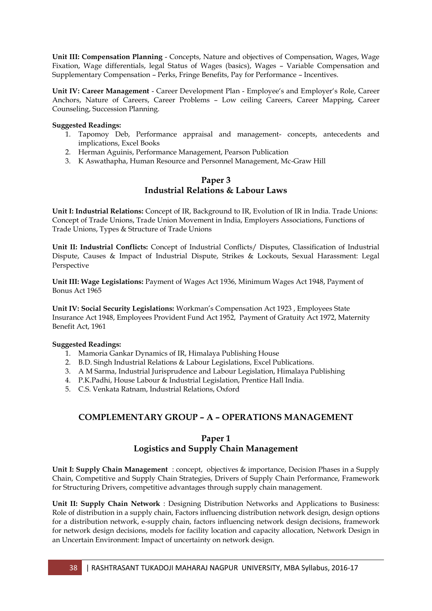**Unit III: Compensation Planning** - Concepts, Nature and objectives of Compensation, Wages, Wage Fixation, Wage differentials, legal Status of Wages (basics), Wages – Variable Compensation and Supplementary Compensation – Perks, Fringe Benefits, Pay for Performance – Incentives.

**Unit IV: Career Management** - Career Development Plan - Employee"s and Employer"s Role, Career Anchors, Nature of Careers, Career Problems – Low ceiling Careers, Career Mapping, Career Counseling, Succession Planning.

#### **Suggested Readings:**

- 1. Tapomoy Deb, Performance appraisal and management- concepts, antecedents and implications, Excel Books
- 2. Herman Aguinis, Performance Management, Pearson Publication
- 3. K Aswathapha, Human Resource and Personnel Management, Mc-Graw Hill

## **Paper 3 Industrial Relations & Labour Laws**

**Unit I: Industrial Relations:** Concept of IR, Background to IR, Evolution of IR in India. Trade Unions: Concept of Trade Unions, Trade Union Movement in India, Employers Associations, Functions of Trade Unions, Types & Structure of Trade Unions

**Unit II: Industrial Conflicts:** Concept of Industrial Conflicts/ Disputes, Classification of Industrial Dispute, Causes & Impact of Industrial Dispute, Strikes & Lockouts, Sexual Harassment: Legal Perspective

**Unit III: Wage Legislations:** Payment of Wages Act 1936, Minimum Wages Act 1948, Payment of Bonus Act 1965

**Unit IV: Social Security Legislations:** Workman"s Compensation Act 1923 , Employees State Insurance Act 1948, Employees Provident Fund Act 1952, Payment of Gratuity Act 1972, Maternity Benefit Act, 1961

#### **Suggested Readings:**

- 1. Mamoria Gankar Dynamics of IR, Himalaya Publishing House
- 2. B.D. Singh Industrial Relations & Labour Legislations, Excel Publications.
- 3. A M Sarma, Industrial Jurisprudence and Labour Legislation, Himalaya Publishing
- 4. P.K.Padhi, House Labour & Industrial Legislation, Prentice Hall India.
- 5. C.S. Venkata Ratnam, Industrial Relations, Oxford

## **COMPLEMENTARY GROUP – A – OPERATIONS MANAGEMENT**

## **Paper 1 Logistics and Supply Chain Management**

**Unit I: Supply Chain Management** : concept, objectives & importance, Decision Phases in a Supply Chain, Competitive and Supply Chain Strategies, Drivers of Supply Chain Performance, Framework for Structuring Drivers, competitive advantages through supply chain management.

**Unit II: Supply Chain Network** : Designing Distribution Networks and Applications to Business: Role of distribution in a supply chain, Factors influencing distribution network design, design options for a distribution network, e-supply chain, factors influencing network design decisions, framework for network design decisions, models for facility location and capacity allocation, Network Design in an Uncertain Environment: Impact of uncertainty on network design.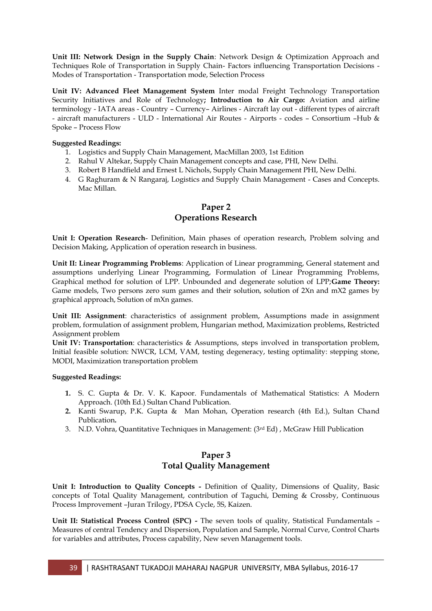**Unit III: Network Design in the Supply Chain**: Network Design & Optimization Approach and Techniques Role of Transportation in Supply Chain- Factors influencing Transportation Decisions - Modes of Transportation - Transportation mode, Selection Process

**Unit IV: Advanced Fleet Management System** Inter modal Freight Technology Transportation Security Initiatives and Role of Technology**; Introduction to Air Cargo:** Aviation and airline terminology - IATA areas - Country – Currency– Airlines - Aircraft lay out - different types of aircraft - aircraft manufacturers - ULD - International Air Routes - Airports - codes – Consortium –Hub & Spoke – Process Flow

#### **Suggested Readings:**

- 1. Logistics and Supply Chain Management, MacMillan 2003, 1st Edition
- 2. Rahul V Altekar, Supply Chain Management concepts and case, PHI, New Delhi.
- 3. Robert B Handfield and Ernest L Nichols, Supply Chain Management PHI, New Delhi.
- 4. G Raghuram & N Rangaraj, Logistics and Supply Chain Management Cases and Concepts. Mac Millan.

### **Paper 2 Operations Research**

**Unit I: Operation Research**- Definition, Main phases of operation research, Problem solving and Decision Making, Application of operation research in business.

**Unit II: Linear Programming Problems**: Application of Linear programming, General statement and assumptions underlying Linear Programming, Formulation of Linear Programming Problems, Graphical method for solution of LPP. Unbounded and degenerate solution of LPP;**Game Theory:**  Game models, Two persons zero sum games and their solution, solution of 2Xn and mX2 games by graphical approach, Solution of mXn games.

**Unit III: Assignment**: characteristics of assignment problem, Assumptions made in assignment problem, formulation of assignment problem, Hungarian method, Maximization problems, Restricted Assignment problem

**Unit IV: Transportation**: characteristics & Assumptions, steps involved in transportation problem, Initial feasible solution: NWCR, LCM, VAM, testing degeneracy, testing optimality: stepping stone, MODI, Maximization transportation problem

#### **Suggested Readings:**

- **1.** S. C. Gupta & Dr. V. K. Kapoor. Fundamentals of Mathematical Statistics: A Modern Approach. (10th Ed.) Sultan Chand Publication.
- **2.** Kanti Swarup, P.K. Gupta & Man Mohan, Operation research (4th Ed.), Sultan Chand Publication**.**
- 3. N.D. Vohra, Quantitative Techniques in Management: (3rd Ed) , McGraw Hill Publication

## **Paper 3 Total Quality Management**

**Unit I: Introduction to Quality Concepts -** Definition of Quality, Dimensions of Quality, Basic concepts of Total Quality Management, contribution of Taguchi, Deming & Crossby, Continuous Process Improvement –Juran Trilogy, PDSA Cycle, 5S, Kaizen.

**Unit II: Statistical Process Control (SPC) -** The seven tools of quality, Statistical Fundamentals – Measures of central Tendency and Dispersion, Population and Sample, Normal Curve, Control Charts for variables and attributes, Process capability, New seven Management tools.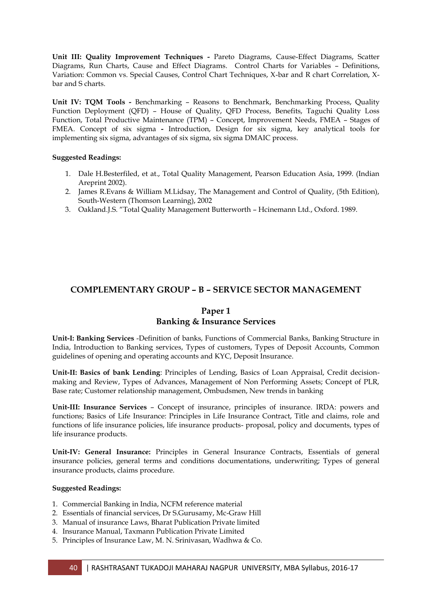**Unit III: Quality Improvement Techniques -** Pareto Diagrams, Cause-Effect Diagrams, Scatter Diagrams, Run Charts, Cause and Effect Diagrams. Control Charts for Variables – Definitions, Variation: Common vs. Special Causes, Control Chart Techniques, X-bar and R chart Correlation, Xbar and S charts.

**Unit IV: TQM Tools -** Benchmarking – Reasons to Benchmark, Benchmarking Process, Quality Function Deployment (QFD) – House of Quality, QFD Process, Benefits, Taguchi Quality Loss Function, Total Productive Maintenance (TPM) – Concept, Improvement Needs, FMEA – Stages of FMEA. Concept of six sigma **-** Introduction, Design for six sigma, key analytical tools for implementing six sigma, advantages of six sigma, six sigma DMAIC process.

#### **Suggested Readings:**

- 1. Dale H.Besterfiled, et at., Total Quality Management, Pearson Education Asia, 1999. (Indian Areprint 2002).
- 2. James R.Evans & William M.Lidsay, The Management and Control of Quality, (5th Edition), South-Western (Thomson Learning), 2002
- 3. Oakland.J.S. "Total Quality Management Butterworth Hcinemann Ltd., Oxford. 1989.

## **COMPLEMENTARY GROUP – B – SERVICE SECTOR MANAGEMENT**

### **Paper 1 Banking & Insurance Services**

**Unit-I: Banking Services** -Definition of banks, Functions of Commercial Banks, Banking Structure in India, Introduction to Banking services, Types of customers, Types of Deposit Accounts, Common guidelines of opening and operating accounts and KYC, Deposit Insurance.

**Unit-II: Basics of bank Lending**: Principles of Lending, Basics of Loan Appraisal, Credit decisionmaking and Review, Types of Advances, Management of Non Performing Assets; Concept of PLR, Base rate; Customer relationship management, Ombudsmen, New trends in banking

**Unit-III: Insurance Services** – Concept of insurance, principles of insurance. IRDA: powers and functions; Basics of Life Insurance: Principles in Life Insurance Contract, Title and claims, role and functions of life insurance policies, life insurance products- proposal, policy and documents, types of life insurance products.

**Unit-IV: General Insurance:** Principles in General Insurance Contracts, Essentials of general insurance policies, general terms and conditions documentations, underwriting; Types of general insurance products, claims procedure.

#### **Suggested Readings:**

- 1. Commercial Banking in India, NCFM reference material
- 2. Essentials of financial services, Dr S.Gurusamy, Mc-Graw Hill
- 3. Manual of insurance Laws, Bharat Publication Private limited
- 4. Insurance Manual, Taxmann Publication Private Limited
- 5. Principles of Insurance Law, M. N. Srinivasan, Wadhwa & Co.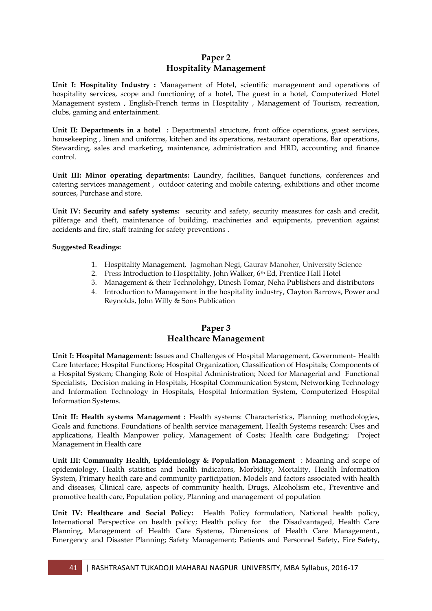## **Paper 2 Hospitality Management**

**Unit I: Hospitality Industry :** Management of Hotel, scientific management and operations of hospitality services, scope and functioning of a hotel, The guest in a hotel, Computerized Hotel Management system , English-French terms in Hospitality , Management of Tourism, recreation, clubs, gaming and entertainment.

**Unit II: Departments in a hotel :** Departmental structure, front office operations, guest services, housekeeping , linen and uniforms, kitchen and its operations, restaurant operations, Bar operations, Stewarding, sales and marketing, maintenance, administration and HRD, accounting and finance control.

**Unit III: Minor operating departments:** Laundry, facilities, Banquet functions, conferences and catering services management , outdoor catering and mobile catering, exhibitions and other income sources, Purchase and store.

**Unit IV: Security and safety systems:** security and safety, security measures for cash and credit, pilferage and theft, maintenance of building, machineries and equipments, prevention against accidents and fire, staff training for safety preventions .

#### **Suggested Readings:**

- 1. Hospitality Management, Jagmohan Negi, Gaurav Manoher, University Science
- 2. Press Introduction to Hospitality, John Walker, 6th Ed, Prentice Hall Hotel
- 3. Management & their Technolohgy, Dinesh Tomar, Neha Publishers and distributors
- 4. Introduction to Management in the hospitality industry, Clayton Barrows, Power and Reynolds, John Willy & Sons Publication

## **Paper 3 Healthcare Management**

**Unit I: Hospital Management:** Issues and Challenges of Hospital Management, Government- Health Care Interface; Hospital Functions; Hospital Organization, Classification of Hospitals; Components of a Hospital System; Changing Role of Hospital Administration; Need for Managerial and Functional Specialists, Decision making in Hospitals, Hospital Communication System, Networking Technology and Information Technology in Hospitals, Hospital Information System, Computerized Hospital Information Systems.

**Unit II: Health systems Management :** Health systems: Characteristics, Planning methodologies, Goals and functions. Foundations of health service management, Health Systems research: Uses and applications, Health Manpower policy, Management of Costs; Health care Budgeting; Project Management in Health care

**Unit III: Community Health, Epidemiology & Population Management** : Meaning and scope of epidemiology, Health statistics and health indicators, Morbidity, Mortality, Health Information System, Primary health care and community participation. Models and factors associated with health and diseases, Clinical care, aspects of community health, Drugs, Alcoholism etc., Preventive and promotive health care, Population policy, Planning and management of population

**Unit IV: Healthcare and Social Policy:** Health Policy formulation, National health policy, International Perspective on health policy; Health policy for the Disadvantaged, Health Care Planning, Management of Health Care Systems, Dimensions of Health Care Management., Emergency and Disaster Planning; Safety Management; Patients and Personnel Safety, Fire Safety,